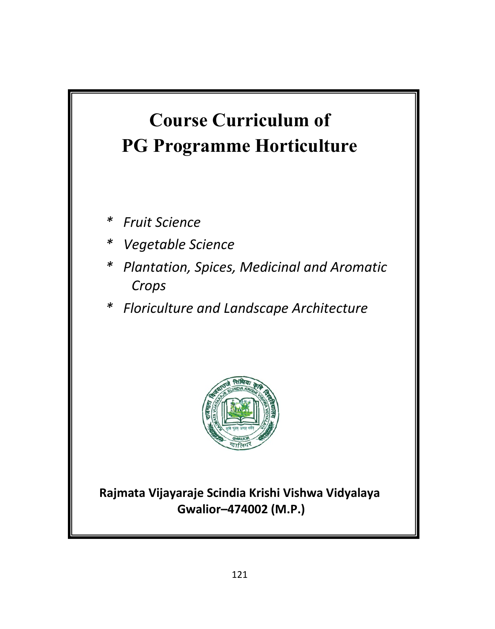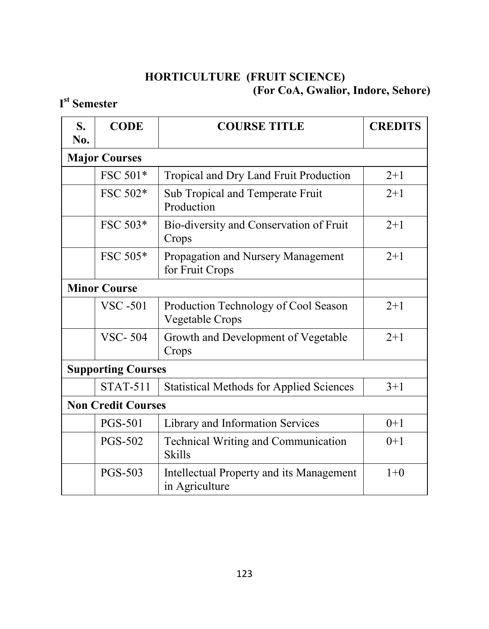## **HORTICULTURE (FRUIT SCIENCE) (For CoA, Gwalior, Indore, Sehore)**

## **I st Semester**

| S.<br>No.           | <b>CODE</b>               | <b>COURSE TITLE</b>                                               | <b>CREDITS</b> |
|---------------------|---------------------------|-------------------------------------------------------------------|----------------|
|                     | <b>Major Courses</b>      |                                                                   |                |
|                     | FSC 501*                  | Tropical and Dry Land Fruit Production                            | $2 + 1$        |
|                     | FSC 502*                  | Sub Tropical and Temperate Fruit<br>Production                    | $2+1$          |
|                     | FSC 503*                  | Bio-diversity and Conservation of Fruit<br>Crops                  | $2+1$          |
|                     | FSC 505*                  | Propagation and Nursery Management<br>for Fruit Crops             | $2+1$          |
| <b>Minor Course</b> |                           |                                                                   |                |
|                     | <b>VSC-501</b>            | Production Technology of Cool Season<br>Vegetable Crops           | $2+1$          |
|                     | <b>VSC-504</b>            | Growth and Development of Vegetable<br>Crops                      | $2+1$          |
|                     | <b>Supporting Courses</b> |                                                                   |                |
|                     | <b>STAT-511</b>           | <b>Statistical Methods for Applied Sciences</b>                   | $3 + 1$        |
|                     | <b>Non Credit Courses</b> |                                                                   |                |
|                     | <b>PGS-501</b>            | Library and Information Services                                  | $0+1$          |
|                     | <b>PGS-502</b>            | <b>Technical Writing and Communication</b><br><b>Skills</b>       | $0+1$          |
|                     | <b>PGS-503</b>            | <b>Intellectual Property and its Management</b><br>in Agriculture | $1+0$          |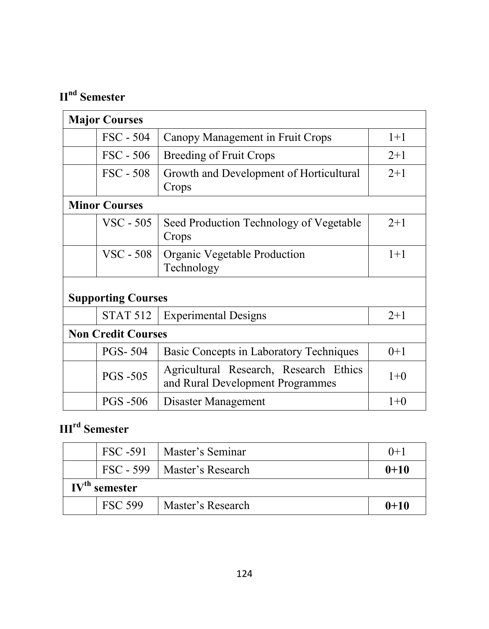# **IInd Semester**

| <b>Major Courses</b>      |                                                                            |         |
|---------------------------|----------------------------------------------------------------------------|---------|
| FSC - 504                 | Canopy Management in Fruit Crops                                           | $1+1$   |
| $\text{FSC} - 506$        | Breeding of Fruit Crops                                                    | $2+1$   |
| $\text{FSC} - 508$        | Growth and Development of Horticultural<br>Crops                           | $2 + 1$ |
| <b>Minor Courses</b>      |                                                                            |         |
| VSC - 505                 | Seed Production Technology of Vegetable<br>Crops                           | $2+1$   |
| $VSC - 508$               | Organic Vegetable Production<br>Technology                                 | $1+1$   |
| <b>Supporting Courses</b> |                                                                            |         |
| <b>STAT 512</b>           | <b>Experimental Designs</b>                                                | $2+1$   |
| <b>Non Credit Courses</b> |                                                                            |         |
| <b>PGS-504</b>            | Basic Concepts in Laboratory Techniques                                    | $0+1$   |
| <b>PGS-505</b>            | Agricultural Research, Research Ethics<br>and Rural Development Programmes | $1+0$   |
| <b>PGS -506</b>           | Disaster Management                                                        | $1+0$   |

# **IIIrd Semester**

|                                    |                | FSC-591   Master's Seminar    | $()+1$   |
|------------------------------------|----------------|-------------------------------|----------|
|                                    |                | FSC - 599   Master's Research | $0 + 10$ |
| $\mathbf{IV}^{\text{th}}$ semester |                |                               |          |
|                                    | <b>FSC 599</b> | Master's Research             | $0+10$   |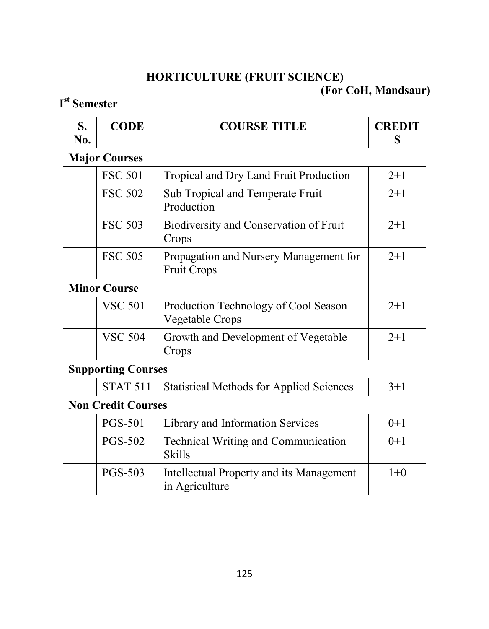## **HORTICULTURE (FRUIT SCIENCE) (For CoH, Mandsaur)**

## **I st Semester**

| S.<br>No.           | <b>CODE</b>               | <b>COURSE TITLE</b>                                          | <b>CREDIT</b><br>S |
|---------------------|---------------------------|--------------------------------------------------------------|--------------------|
|                     | <b>Major Courses</b>      |                                                              |                    |
|                     | <b>FSC 501</b>            | Tropical and Dry Land Fruit Production                       | $2+1$              |
|                     | <b>FSC 502</b>            | Sub Tropical and Temperate Fruit<br>Production               | $2+1$              |
|                     | <b>FSC 503</b>            | Biodiversity and Conservation of Fruit<br>Crops              | $2 + 1$            |
|                     | <b>FSC 505</b>            | Propagation and Nursery Management for<br><b>Fruit Crops</b> | $2+1$              |
| <b>Minor Course</b> |                           |                                                              |                    |
|                     | <b>VSC 501</b>            | Production Technology of Cool Season<br>Vegetable Crops      | $2 + 1$            |
|                     | <b>VSC 504</b>            | Growth and Development of Vegetable<br>Crops                 | $2+1$              |
|                     | <b>Supporting Courses</b> |                                                              |                    |
|                     | <b>STAT 511</b>           | <b>Statistical Methods for Applied Sciences</b>              | $3 + 1$            |
|                     | <b>Non Credit Courses</b> |                                                              |                    |
|                     | <b>PGS-501</b>            | Library and Information Services                             | $0+1$              |
|                     | <b>PGS-502</b>            | <b>Technical Writing and Communication</b><br><b>Skills</b>  | $0+1$              |
|                     | <b>PGS-503</b>            | Intellectual Property and its Management<br>in Agriculture   | $1+0$              |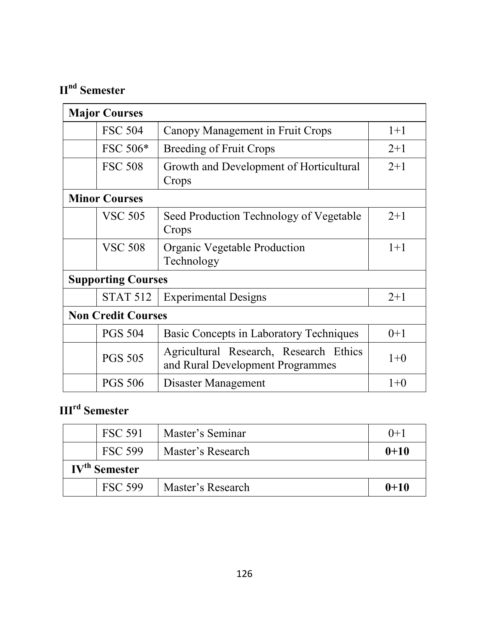# **IInd Semester**

| <b>Major Courses</b>      |                                                                            |         |
|---------------------------|----------------------------------------------------------------------------|---------|
| <b>FSC 504</b>            | Canopy Management in Fruit Crops                                           | $1+1$   |
| FSC 506*                  | Breeding of Fruit Crops                                                    | $2 + 1$ |
| <b>FSC 508</b>            | Growth and Development of Horticultural<br>Crops                           | $2+1$   |
| <b>Minor Courses</b>      |                                                                            |         |
| <b>VSC 505</b>            | Seed Production Technology of Vegetable<br>Crops                           | $2+1$   |
| <b>VSC 508</b>            | Organic Vegetable Production<br>Technology                                 | $1+1$   |
| <b>Supporting Courses</b> |                                                                            |         |
| <b>STAT 512</b>           | <b>Experimental Designs</b>                                                | $2+1$   |
| <b>Non Credit Courses</b> |                                                                            |         |
| <b>PGS 504</b>            | Basic Concepts in Laboratory Techniques                                    | $0+1$   |
| <b>PGS 505</b>            | Agricultural Research, Research Ethics<br>and Rural Development Programmes | $1+0$   |
| <b>PGS 506</b>            | Disaster Management                                                        | $1+0$   |

# **IIIrd Semester**

|                                 | <b>FSC 591</b> | Master's Seminar  | $() + 1$ |
|---------------------------------|----------------|-------------------|----------|
|                                 | <b>FSC 599</b> | Master's Research | $0 + 10$ |
| <b>IV<sup>th</sup> Semester</b> |                |                   |          |
|                                 | <b>FSC 599</b> | Master's Research | $0 + 10$ |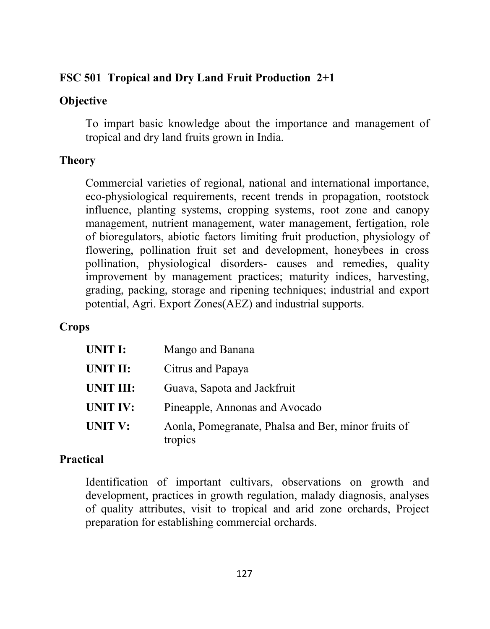## **FSC 501 Tropical and Dry Land Fruit Production 2+1**

## **Objective**

To impart basic knowledge about the importance and management of tropical and dry land fruits grown in India.

# **Theory**

Commercial varieties of regional, national and international importance, eco-physiological requirements, recent trends in propagation, rootstock influence, planting systems, cropping systems, root zone and canopy management, nutrient management, water management, fertigation, role of bioregulators, abiotic factors limiting fruit production, physiology of flowering, pollination fruit set and development, honeybees in cross pollination, physiological disorders- causes and remedies, quality improvement by management practices; maturity indices, harvesting, grading, packing, storage and ripening techniques; industrial and export potential, Agri. Export Zones(AEZ) and industrial supports.

# **Crops**

| UNIT I:          | Mango and Banana                                               |
|------------------|----------------------------------------------------------------|
| UNIT II:         | Citrus and Papaya                                              |
| <b>UNIT III:</b> | Guava, Sapota and Jackfruit                                    |
| <b>UNIT IV:</b>  | Pineapple, Annonas and Avocado                                 |
| <b>UNIT V:</b>   | Aonla, Pomegranate, Phalsa and Ber, minor fruits of<br>tropics |

# **Practical**

Identification of important cultivars, observations on growth and development, practices in growth regulation, malady diagnosis, analyses of quality attributes, visit to tropical and arid zone orchards, Project preparation for establishing commercial orchards.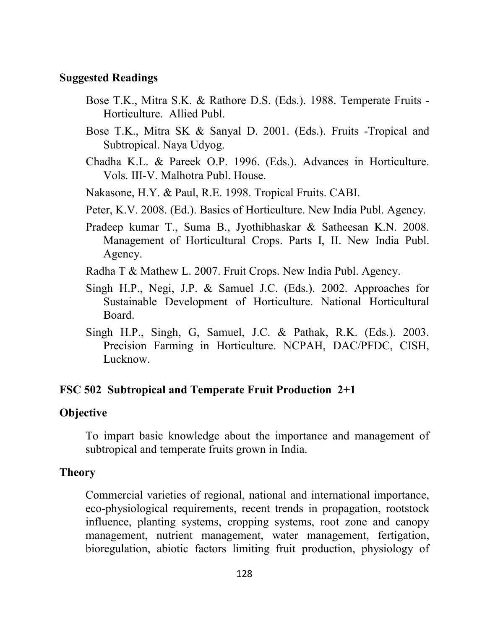#### **Suggested Readings**

- Bose T.K., Mitra S.K. & Rathore D.S. (Eds.). 1988. Temperate Fruits Horticulture. Allied Publ.
- Bose T.K., Mitra SK & Sanyal D. 2001. (Eds.). Fruits -Tropical and Subtropical. Naya Udyog.
- Chadha K.L. & Pareek O.P. 1996. (Eds.). Advances in Horticulture. Vols. III-V. Malhotra Publ. House.
- Nakasone, H.Y. & Paul, R.E. 1998. Tropical Fruits. CABI.
- Peter, K.V. 2008. (Ed.). Basics of Horticulture. New India Publ. Agency.
- Pradeep kumar T., Suma B., Jyothibhaskar & Satheesan K.N. 2008. Management of Horticultural Crops. Parts I, II. New India Publ. Agency.
- Radha T & Mathew L. 2007. Fruit Crops. New India Publ. Agency.
- Singh H.P., Negi, J.P. & Samuel J.C. (Eds.). 2002. Approaches for Sustainable Development of Horticulture. National Horticultural Board.
- Singh H.P., Singh, G, Samuel, J.C. & Pathak, R.K. (Eds.). 2003. Precision Farming in Horticulture. NCPAH, DAC/PFDC, CISH, Lucknow.

#### **FSC 502 Subtropical and Temperate Fruit Production 2+1**

#### **Objective**

To impart basic knowledge about the importance and management of subtropical and temperate fruits grown in India.

#### **Theory**

Commercial varieties of regional, national and international importance, eco-physiological requirements, recent trends in propagation, rootstock influence, planting systems, cropping systems, root zone and canopy management, nutrient management, water management, fertigation, bioregulation, abiotic factors limiting fruit production, physiology of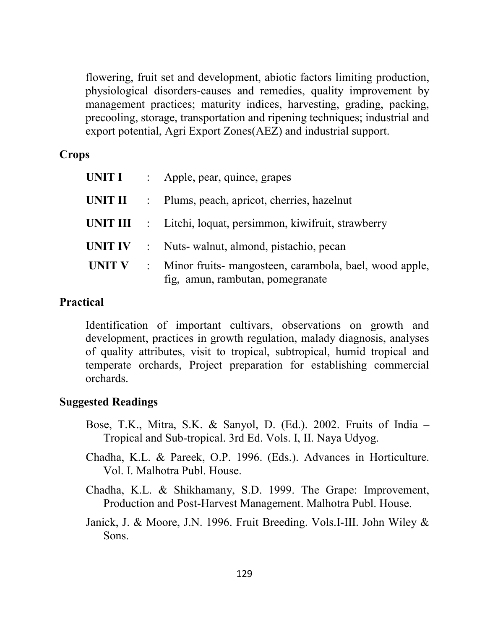flowering, fruit set and development, abiotic factors limiting production, physiological disorders-causes and remedies, quality improvement by management practices; maturity indices, harvesting, grading, packing, precooling, storage, transportation and ripening techniques; industrial and export potential, Agri Export Zones(AEZ) and industrial support.

#### **Crops**

| UNIT I  |            | : Apple, pear, quince, grapes                                                              |
|---------|------------|--------------------------------------------------------------------------------------------|
|         |            | <b>UNIT II</b> : Plums, peach, apricot, cherries, hazelnut                                 |
|         |            | <b>UNIT III</b> : Litchi, loquat, persimmon, kiwifruit, strawberry                         |
| UNIT IV | $\sim 100$ | Nuts- walnut, almond, pistachio, pecan                                                     |
| UNIT V  |            | Minor fruits- mangosteen, carambola, bael, wood apple,<br>fig, amun, rambutan, pomegranate |

#### **Practical**

Identification of important cultivars, observations on growth and development, practices in growth regulation, malady diagnosis, analyses of quality attributes, visit to tropical, subtropical, humid tropical and temperate orchards, Project preparation for establishing commercial orchards.

## **Suggested Readings**

- Bose, T.K., Mitra, S.K. & Sanyol, D. (Ed.). 2002. Fruits of India Tropical and Sub-tropical. 3rd Ed. Vols. I, II. Naya Udyog.
- Chadha, K.L. & Pareek, O.P. 1996. (Eds.). Advances in Horticulture. Vol. I. Malhotra Publ. House.
- Chadha, K.L. & Shikhamany, S.D. 1999. The Grape: Improvement, Production and Post-Harvest Management. Malhotra Publ. House.
- Janick, J. & Moore, J.N. 1996. Fruit Breeding. Vols.I-III. John Wiley & Sons.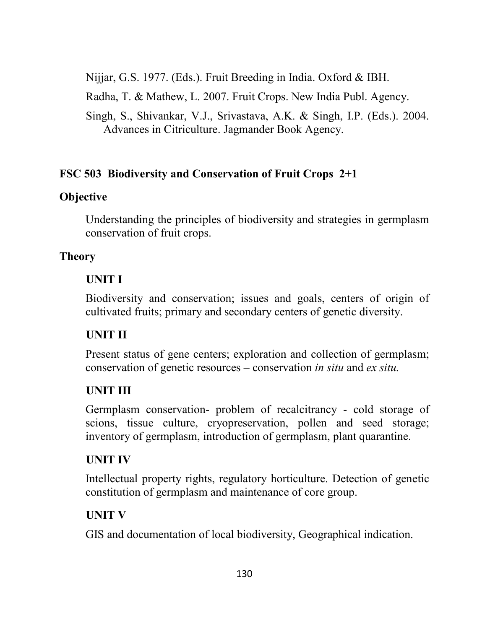Nijjar, G.S. 1977. (Eds.). Fruit Breeding in India. Oxford & IBH.

Radha, T. & Mathew, L. 2007. Fruit Crops. New India Publ. Agency.

Singh, S., Shivankar, V.J., Srivastava, A.K. & Singh, I.P. (Eds.). 2004. Advances in Citriculture. Jagmander Book Agency.

# **FSC 503 Biodiversity and Conservation of Fruit Crops 2+1**

# **Objective**

Understanding the principles of biodiversity and strategies in germplasm conservation of fruit crops.

# **Theory**

# **UNIT I**

Biodiversity and conservation; issues and goals, centers of origin of cultivated fruits; primary and secondary centers of genetic diversity.

# **UNIT II**

Present status of gene centers; exploration and collection of germplasm; conservation of genetic resources – conservation *in situ* and *ex situ.*

# **UNIT III**

Germplasm conservation- problem of recalcitrancy - cold storage of scions, tissue culture, cryopreservation, pollen and seed storage; inventory of germplasm, introduction of germplasm, plant quarantine.

# **UNIT IV**

Intellectual property rights, regulatory horticulture. Detection of genetic constitution of germplasm and maintenance of core group.

# **UNIT V**

GIS and documentation of local biodiversity, Geographical indication.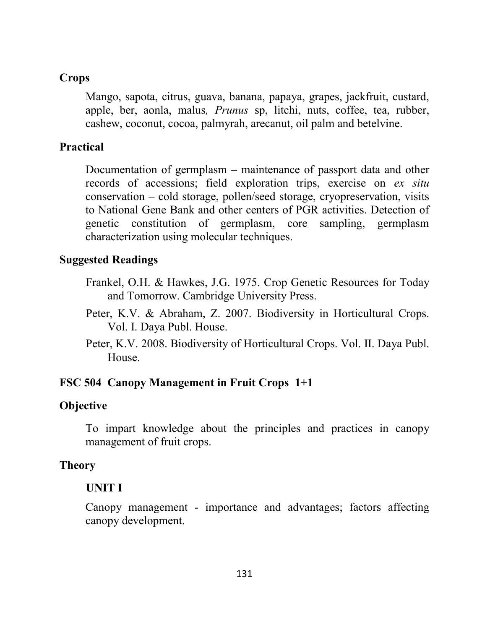#### **Crops**

Mango, sapota, citrus, guava, banana, papaya, grapes, jackfruit, custard, apple, ber, aonla, malus*, Prunus* sp, litchi, nuts, coffee, tea, rubber, cashew, coconut, cocoa, palmyrah, arecanut, oil palm and betelvine.

#### **Practical**

Documentation of germplasm – maintenance of passport data and other records of accessions; field exploration trips, exercise on *ex situ* conservation – cold storage, pollen/seed storage, cryopreservation, visits to National Gene Bank and other centers of PGR activities. Detection of genetic constitution of germplasm, core sampling, germplasm characterization using molecular techniques.

#### **Suggested Readings**

- Frankel, O.H. & Hawkes, J.G. 1975. Crop Genetic Resources for Today and Tomorrow. Cambridge University Press.
- Peter, K.V. & Abraham, Z. 2007. Biodiversity in Horticultural Crops. Vol. I. Daya Publ. House.
- Peter, K.V. 2008. Biodiversity of Horticultural Crops. Vol. II. Daya Publ. House.

#### **FSC 504 Canopy Management in Fruit Crops 1+1**

#### **Objective**

To impart knowledge about the principles and practices in canopy management of fruit crops.

#### **Theory**

## **UNIT I**

Canopy management - importance and advantages; factors affecting canopy development.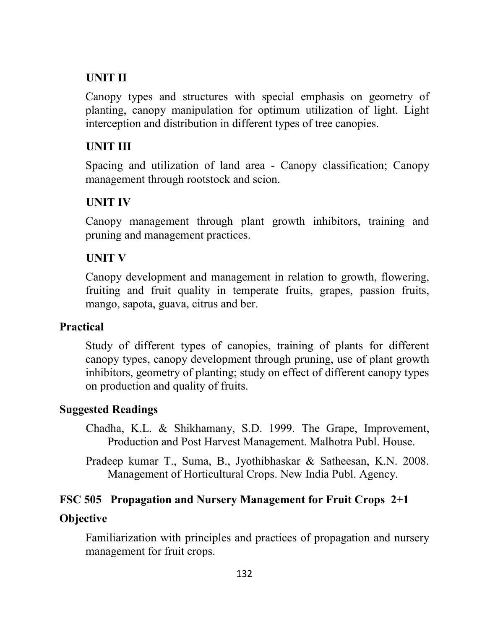## **UNIT II**

Canopy types and structures with special emphasis on geometry of planting, canopy manipulation for optimum utilization of light. Light interception and distribution in different types of tree canopies.

#### **UNIT III**

Spacing and utilization of land area - Canopy classification; Canopy management through rootstock and scion.

## **UNIT IV**

Canopy management through plant growth inhibitors, training and pruning and management practices.

## **UNIT V**

Canopy development and management in relation to growth, flowering, fruiting and fruit quality in temperate fruits, grapes, passion fruits, mango, sapota, guava, citrus and ber.

#### **Practical**

Study of different types of canopies, training of plants for different canopy types, canopy development through pruning, use of plant growth inhibitors, geometry of planting; study on effect of different canopy types on production and quality of fruits.

## **Suggested Readings**

- Chadha, K.L. & Shikhamany, S.D. 1999. The Grape, Improvement, Production and Post Harvest Management. Malhotra Publ. House.
- Pradeep kumar T., Suma, B., Jyothibhaskar & Satheesan, K.N. 2008. Management of Horticultural Crops. New India Publ. Agency.

## **FSC 505 Propagation and Nursery Management for Fruit Crops 2+1**

#### **Objective**

Familiarization with principles and practices of propagation and nursery management for fruit crops.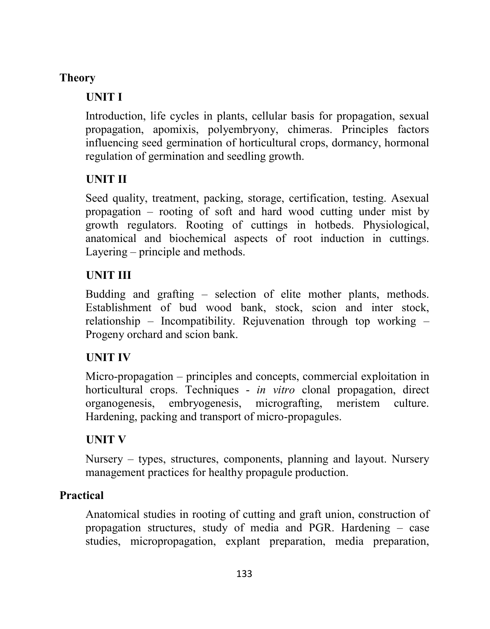## **Theory**

## **UNIT I**

Introduction, life cycles in plants, cellular basis for propagation, sexual propagation, apomixis, polyembryony, chimeras. Principles factors influencing seed germination of horticultural crops, dormancy, hormonal regulation of germination and seedling growth.

# **UNIT II**

Seed quality, treatment, packing, storage, certification, testing. Asexual propagation – rooting of soft and hard wood cutting under mist by growth regulators. Rooting of cuttings in hotbeds. Physiological, anatomical and biochemical aspects of root induction in cuttings. Layering – principle and methods.

## **UNIT III**

Budding and grafting – selection of elite mother plants, methods. Establishment of bud wood bank, stock, scion and inter stock, relationship – Incompatibility. Rejuvenation through top working – Progeny orchard and scion bank.

## **UNIT IV**

Micro-propagation – principles and concepts, commercial exploitation in horticultural crops. Techniques - *in vitro* clonal propagation, direct organogenesis, embryogenesis, micrografting, meristem culture. Hardening, packing and transport of micro-propagules.

# **UNIT V**

Nursery – types, structures, components, planning and layout. Nursery management practices for healthy propagule production.

## **Practical**

Anatomical studies in rooting of cutting and graft union, construction of propagation structures, study of media and PGR. Hardening – case studies, micropropagation, explant preparation, media preparation,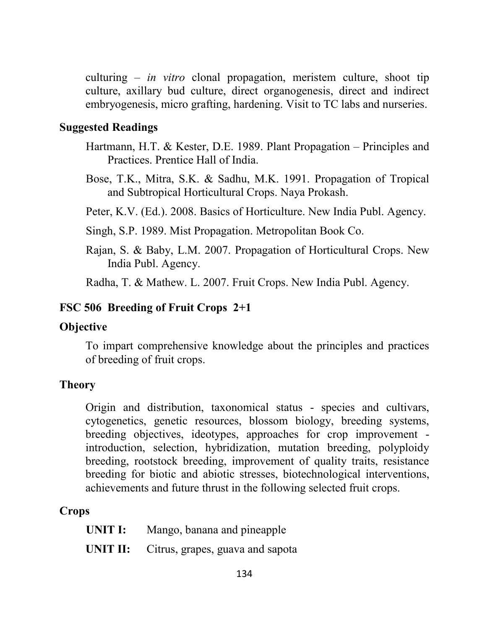culturing – *in vitro* clonal propagation, meristem culture, shoot tip culture, axillary bud culture, direct organogenesis, direct and indirect embryogenesis, micro grafting, hardening. Visit to TC labs and nurseries.

#### **Suggested Readings**

- Hartmann, H.T. & Kester, D.E. 1989. Plant Propagation Principles and Practices. Prentice Hall of India.
- Bose, T.K., Mitra, S.K. & Sadhu, M.K. 1991. Propagation of Tropical and Subtropical Horticultural Crops. Naya Prokash.

Peter, K.V. (Ed.). 2008. Basics of Horticulture. New India Publ. Agency.

Singh, S.P. 1989. Mist Propagation. Metropolitan Book Co.

Rajan, S. & Baby, L.M. 2007. Propagation of Horticultural Crops. New India Publ. Agency.

Radha, T. & Mathew. L. 2007. Fruit Crops. New India Publ. Agency.

#### **FSC 506 Breeding of Fruit Crops 2+1**

#### **Objective**

To impart comprehensive knowledge about the principles and practices of breeding of fruit crops.

#### **Theory**

Origin and distribution, taxonomical status - species and cultivars, cytogenetics, genetic resources, blossom biology, breeding systems, breeding objectives, ideotypes, approaches for crop improvement introduction, selection, hybridization, mutation breeding, polyploidy breeding, rootstock breeding, improvement of quality traits, resistance breeding for biotic and abiotic stresses, biotechnological interventions, achievements and future thrust in the following selected fruit crops.

#### **Crops**

| UNIT I: | Mango, banana and pineapple |  |
|---------|-----------------------------|--|
|---------|-----------------------------|--|

**UNIT II:** Citrus, grapes, guava and sapota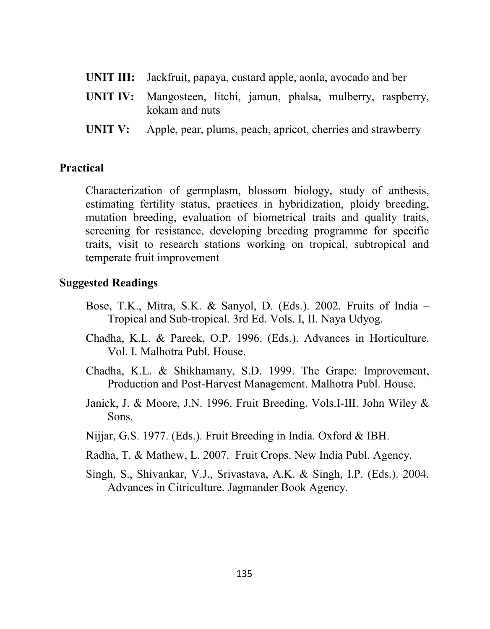- **UNIT III:** Jackfruit, papaya, custard apple, aonla, avocado and ber
- **UNIT IV:** Mangosteen, litchi, jamun, phalsa, mulberry, raspberry, kokam and nuts
- **UNIT V:** Apple, pear, plums, peach, apricot, cherries and strawberry

#### **Practical**

Characterization of germplasm, blossom biology, study of anthesis, estimating fertility status, practices in hybridization, ploidy breeding, mutation breeding, evaluation of biometrical traits and quality traits, screening for resistance, developing breeding programme for specific traits, visit to research stations working on tropical, subtropical and temperate fruit improvement

#### **Suggested Readings**

- Bose, T.K., Mitra, S.K. & Sanyol, D. (Eds.). 2002. Fruits of India Tropical and Sub-tropical. 3rd Ed. Vols. I, II. Naya Udyog.
- Chadha, K.L. & Pareek, O.P. 1996. (Eds.). Advances in Horticulture. Vol. I. Malhotra Publ. House.
- Chadha, K.L. & Shikhamany, S.D. 1999. The Grape: Improvement, Production and Post-Harvest Management. Malhotra Publ. House.
- Janick, J. & Moore, J.N. 1996. Fruit Breeding. Vols.I-III. John Wiley & Sons.
- Nijjar, G.S. 1977. (Eds.). Fruit Breeding in India. Oxford & IBH.
- Radha, T. & Mathew, L. 2007. Fruit Crops. New India Publ. Agency.
- Singh, S., Shivankar, V.J., Srivastava, A.K. & Singh, I.P. (Eds.). 2004. Advances in Citriculture. Jagmander Book Agency.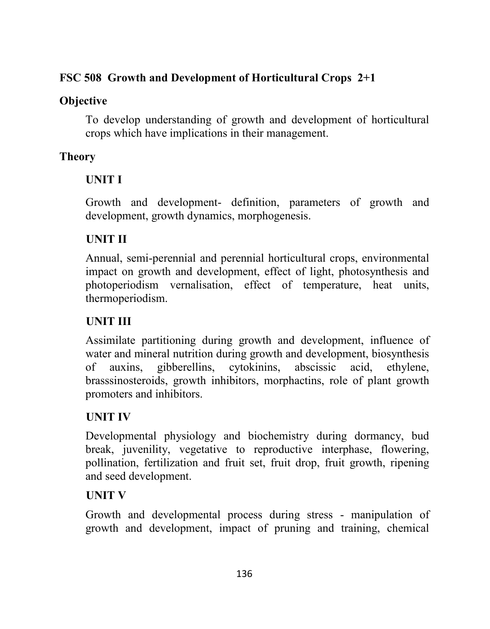## **FSC 508 Growth and Development of Horticultural Crops 2+1**

## **Objective**

To develop understanding of growth and development of horticultural crops which have implications in their management.

# **Theory**

# **UNIT I**

Growth and development- definition, parameters of growth and development, growth dynamics, morphogenesis.

# **UNIT II**

Annual, semi-perennial and perennial horticultural crops, environmental impact on growth and development, effect of light, photosynthesis and photoperiodism vernalisation, effect of temperature, heat units, thermoperiodism.

# **UNIT III**

Assimilate partitioning during growth and development, influence of water and mineral nutrition during growth and development, biosynthesis of auxins, gibberellins, cytokinins, abscissic acid, ethylene, brasssinosteroids, growth inhibitors, morphactins, role of plant growth promoters and inhibitors.

# **UNIT IV**

Developmental physiology and biochemistry during dormancy, bud break, juvenility, vegetative to reproductive interphase, flowering, pollination, fertilization and fruit set, fruit drop, fruit growth, ripening and seed development.

# **UNIT V**

Growth and developmental process during stress - manipulation of growth and development, impact of pruning and training, chemical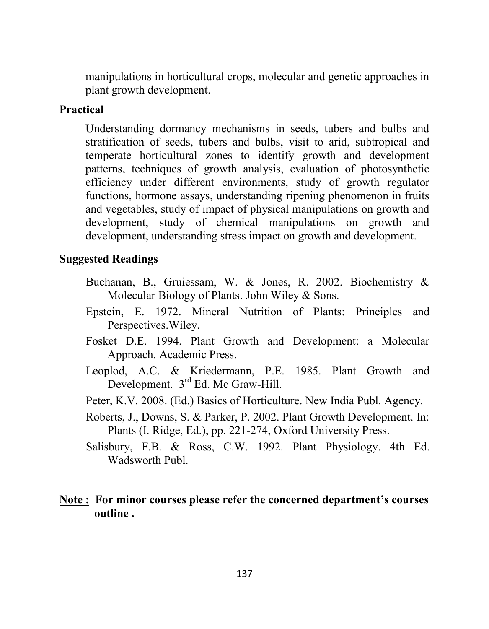manipulations in horticultural crops, molecular and genetic approaches in plant growth development.

#### **Practical**

Understanding dormancy mechanisms in seeds, tubers and bulbs and stratification of seeds, tubers and bulbs, visit to arid, subtropical and temperate horticultural zones to identify growth and development patterns, techniques of growth analysis, evaluation of photosynthetic efficiency under different environments, study of growth regulator functions, hormone assays, understanding ripening phenomenon in fruits and vegetables, study of impact of physical manipulations on growth and development, study of chemical manipulations on growth and development, understanding stress impact on growth and development.

#### **Suggested Readings**

- Buchanan, B., Gruiessam, W. & Jones, R. 2002. Biochemistry & Molecular Biology of Plants. John Wiley & Sons.
- Epstein, E. 1972. Mineral Nutrition of Plants: Principles and Perspectives.Wiley.
- Fosket D.E. 1994. Plant Growth and Development: a Molecular Approach. Academic Press.
- Leoplod, A.C. & Kriedermann, P.E. 1985. Plant Growth and Development. 3<sup>rd</sup> Ed. Mc Graw-Hill.
- Peter, K.V. 2008. (Ed.) Basics of Horticulture. New India Publ. Agency.
- Roberts, J., Downs, S. & Parker, P. 2002. Plant Growth Development. In: Plants (I. Ridge, Ed.), pp. 221-274, Oxford University Press.
- Salisbury, F.B. & Ross, C.W. 1992. Plant Physiology. 4th Ed. Wadsworth Publ.

#### **Note : For minor courses please refer the concerned department's courses outline .**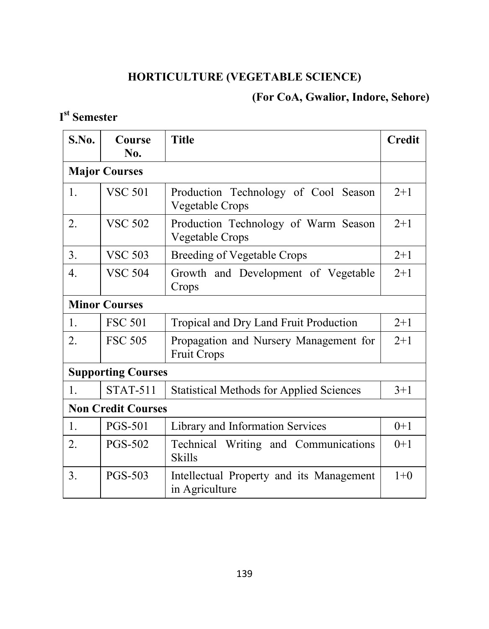# **HORTICULTURE (VEGETABLE SCIENCE)**

# **(For CoA, Gwalior, Indore, Sehore)**

# **I st Semester**

| S.No. | Course<br>No.             | <b>Title</b>                                                 | <b>Credit</b> |
|-------|---------------------------|--------------------------------------------------------------|---------------|
|       | <b>Major Courses</b>      |                                                              |               |
| 1.    | <b>VSC 501</b>            | Production Technology of Cool Season<br>Vegetable Crops      | $2 + 1$       |
| 2.    | <b>VSC 502</b>            | Production Technology of Warm Season<br>Vegetable Crops      | $2 + 1$       |
| 3.    | <b>VSC 503</b>            | <b>Breeding of Vegetable Crops</b>                           | $2+1$         |
| 4.    | <b>VSC 504</b>            | Growth and Development of Vegetable<br>Crops                 | $2+1$         |
|       | <b>Minor Courses</b>      |                                                              |               |
| 1.    | <b>FSC 501</b>            | Tropical and Dry Land Fruit Production                       | $2+1$         |
| 2.    | <b>FSC 505</b>            | Propagation and Nursery Management for<br><b>Fruit Crops</b> | $2 + 1$       |
|       | <b>Supporting Courses</b> |                                                              |               |
| 1.    | <b>STAT-511</b>           | <b>Statistical Methods for Applied Sciences</b>              | $3 + 1$       |
|       | <b>Non Credit Courses</b> |                                                              |               |
| 1.    | <b>PGS-501</b>            | Library and Information Services                             | $0+1$         |
| 2.    | <b>PGS-502</b>            | Technical Writing and Communications<br><b>Skills</b>        | $0+1$         |
| 3.    | <b>PGS-503</b>            | Intellectual Property and its Management<br>in Agriculture   | $1+0$         |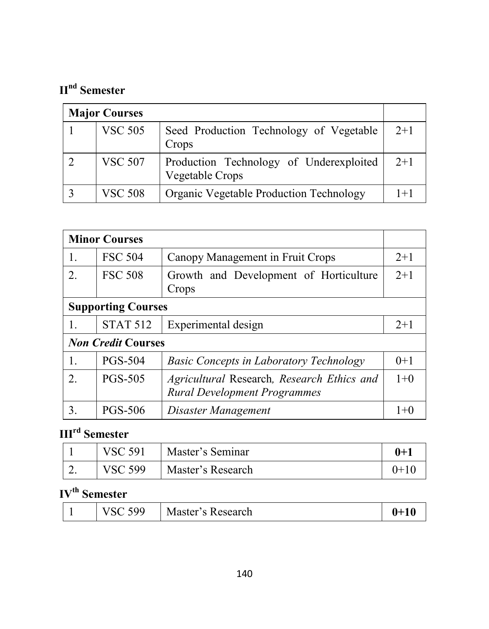# **IInd Semester**

| <b>Major Courses</b> |                |                                                            |         |
|----------------------|----------------|------------------------------------------------------------|---------|
|                      | <b>VSC 505</b> | Seed Production Technology of Vegetable<br>Crops           | $2+1$   |
|                      | <b>VSC 507</b> | Production Technology of Underexploited<br>Vegetable Crops | $2+1$   |
|                      | <b>VSC 508</b> | Organic Vegetable Production Technology                    | $1 + 1$ |

| <b>Minor Courses</b>      |                           |                                                                                   |         |
|---------------------------|---------------------------|-----------------------------------------------------------------------------------|---------|
| 1.                        | <b>FSC 504</b>            | Canopy Management in Fruit Crops                                                  | $2+1$   |
| 2.                        | <b>FSC 508</b>            | Growth and Development of Horticulture<br>Crops                                   | $2+1$   |
|                           | <b>Supporting Courses</b> |                                                                                   |         |
| 1.                        | <b>STAT 512</b>           | Experimental design                                                               | $2 + 1$ |
| <b>Non Credit Courses</b> |                           |                                                                                   |         |
| 1.                        | <b>PGS-504</b>            | <b>Basic Concepts in Laboratory Technology</b>                                    | $0+1$   |
| 2                         | <b>PGS-505</b>            | Agricultural Research, Research Ethics and<br><b>Rural Development Programmes</b> | $1+0$   |
| 3.                        | <b>PGS-506</b>            | Disaster Management                                                               | $1 + C$ |

## **IIIrd Semester**

|   | <b>VSC 591</b> | Master's Seminar  | $0+$  |
|---|----------------|-------------------|-------|
| ∼ | <b>VSC 599</b> | Master's Research | 'I+1∪ |

# **IVth Semester**

| 599<br>Master's Research | $0 + 10$ |
|--------------------------|----------|
|--------------------------|----------|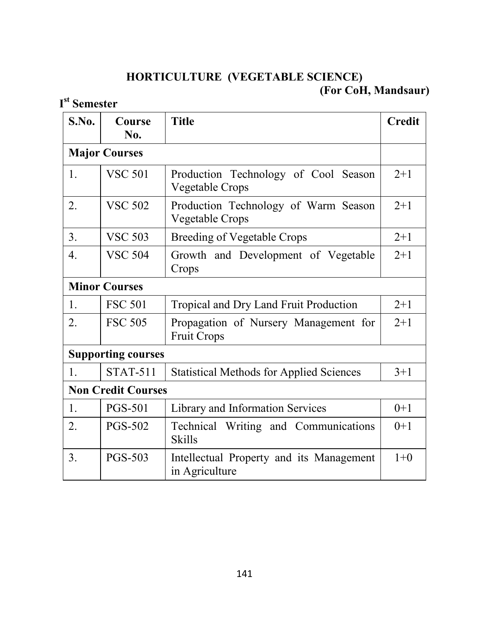## **HORTICULTURE (VEGETABLE SCIENCE) (For CoH, Mandsaur)**

## **I st Semester**

| S.No.            | Course<br>No.             | <b>Title</b>                                                | <b>Credit</b> |
|------------------|---------------------------|-------------------------------------------------------------|---------------|
|                  | <b>Major Courses</b>      |                                                             |               |
| 1.               | <b>VSC 501</b>            | Production Technology of Cool Season<br>Vegetable Crops     | $2+1$         |
| 2.               | <b>VSC 502</b>            | Production Technology of Warm Season<br>Vegetable Crops     | $2 + 1$       |
| 3.               | <b>VSC 503</b>            | <b>Breeding of Vegetable Crops</b>                          | $2 + 1$       |
| $\overline{4}$ . | <b>VSC 504</b>            | Growth and Development of Vegetable<br>Crops                | $2 + 1$       |
|                  | <b>Minor Courses</b>      |                                                             |               |
| 1.               | <b>FSC 501</b>            | Tropical and Dry Land Fruit Production                      | $2 + 1$       |
| 2.               | <b>FSC 505</b>            | Propagation of Nursery Management for<br><b>Fruit Crops</b> | $2 + 1$       |
|                  | <b>Supporting courses</b> |                                                             |               |
| 1.               | <b>STAT-511</b>           | <b>Statistical Methods for Applied Sciences</b>             | $3+1$         |
|                  | <b>Non Credit Courses</b> |                                                             |               |
| 1.               | <b>PGS-501</b>            | Library and Information Services                            | $0+1$         |
| 2.               | PGS-502                   | Technical Writing and Communications<br><b>Skills</b>       | $0+1$         |
| 3.               | <b>PGS-503</b>            | Intellectual Property and its Management<br>in Agriculture  | $1+0$         |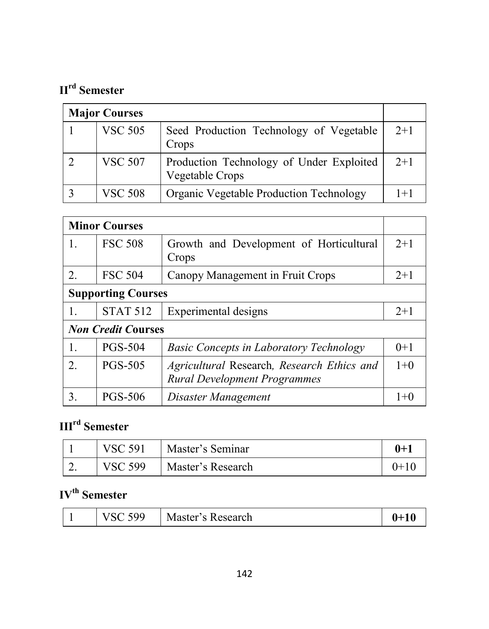# **IIrd Semester**

| <b>Major Courses</b> |                                                             |       |
|----------------------|-------------------------------------------------------------|-------|
| <b>VSC 505</b>       | Seed Production Technology of Vegetable<br>Crops            | $2+1$ |
| <b>VSC 507</b>       | Production Technology of Under Exploited<br>Vegetable Crops | $2+1$ |
| <b>VSC 508</b>       | <b>Organic Vegetable Production Technology</b>              | $1+1$ |

|             | <b>Minor Courses</b>      |                                                                                   |         |
|-------------|---------------------------|-----------------------------------------------------------------------------------|---------|
| 1.          | <b>FSC 508</b>            | Growth and Development of Horticultural<br>Crops                                  | $2 + 1$ |
| 2.          | <b>FSC 504</b>            | Canopy Management in Fruit Crops                                                  | $2+1$   |
|             | <b>Supporting Courses</b> |                                                                                   |         |
| 1.          | <b>STAT 512</b>           | Experimental designs                                                              | $2+1$   |
|             | <b>Non Credit Courses</b> |                                                                                   |         |
| 1.          | <b>PGS-504</b>            | <b>Basic Concepts in Laboratory Technology</b>                                    | $0+1$   |
| $2^{\circ}$ | <b>PGS-505</b>            | Agricultural Research, Research Ethics and<br><b>Rural Development Programmes</b> | $1+0$   |
| 3.          | <b>PGS-506</b>            | Disaster Management                                                               | $1 + C$ |

# **IIIrd Semester**

|          | <b>VSC 591</b> | Master's Seminar  | 0+1     |
|----------|----------------|-------------------|---------|
| <u>.</u> | <b>VSC 599</b> | Master's Research | $(1+1)$ |

# **IVth Semester**

|  | ٥o | Master's R<br>Kesearch |  |
|--|----|------------------------|--|
|--|----|------------------------|--|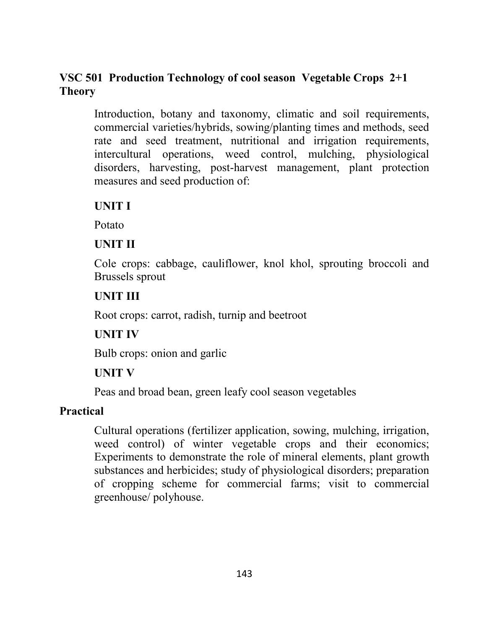## **VSC 501 Production Technology of cool season Vegetable Crops 2+1 Theory**

Introduction, botany and taxonomy, climatic and soil requirements, commercial varieties/hybrids, sowing/planting times and methods, seed rate and seed treatment, nutritional and irrigation requirements, intercultural operations, weed control, mulching, physiological disorders, harvesting, post-harvest management, plant protection measures and seed production of:

#### **UNIT I**

Potato

## **UNIT II**

Cole crops: cabbage, cauliflower, knol khol, sprouting broccoli and Brussels sprout

## **UNIT III**

Root crops: carrot, radish, turnip and beetroot

## **UNIT IV**

Bulb crops: onion and garlic

## **UNIT V**

Peas and broad bean, green leafy cool season vegetables

## **Practical**

Cultural operations (fertilizer application, sowing, mulching, irrigation, weed control) of winter vegetable crops and their economics; Experiments to demonstrate the role of mineral elements, plant growth substances and herbicides; study of physiological disorders; preparation of cropping scheme for commercial farms; visit to commercial greenhouse/ polyhouse.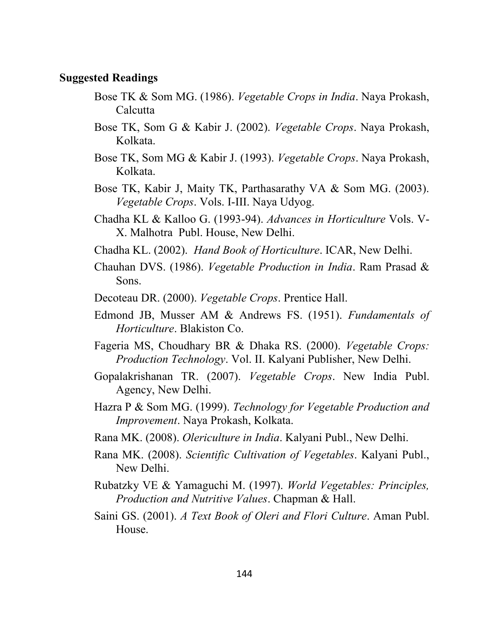#### **Suggested Readings**

- Bose TK & Som MG. (1986). *Vegetable Crops in India*. Naya Prokash, **Calcutta**
- Bose TK, Som G & Kabir J. (2002). *Vegetable Crops*. Naya Prokash, Kolkata.
- Bose TK, Som MG & Kabir J. (1993). *Vegetable Crops*. Naya Prokash, Kolkata.
- Bose TK, Kabir J, Maity TK, Parthasarathy VA & Som MG. (2003). *Vegetable Crops*. Vols. I-III. Naya Udyog.
- Chadha KL & Kalloo G. (1993-94). *Advances in Horticulture* Vols. V-X. Malhotra Publ. House, New Delhi.
- Chadha KL. (2002). *Hand Book of Horticulture*. ICAR, New Delhi.
- Chauhan DVS. (1986). *Vegetable Production in India*. Ram Prasad & Sons.
- Decoteau DR. (2000). *Vegetable Crops*. Prentice Hall.
- Edmond JB, Musser AM & Andrews FS. (1951). *Fundamentals of Horticulture*. Blakiston Co.
- Fageria MS, Choudhary BR & Dhaka RS. (2000). *Vegetable Crops: Production Technology*. Vol. II. Kalyani Publisher, New Delhi.
- Gopalakrishanan TR. (2007). *Vegetable Crops*. New India Publ. Agency, New Delhi.
- Hazra P & Som MG. (1999). *Technology for Vegetable Production and Improvement*. Naya Prokash, Kolkata.
- Rana MK. (2008). *Olericulture in India*. Kalyani Publ., New Delhi.
- Rana MK. (2008). *Scientific Cultivation of Vegetables*. Kalyani Publ., New Delhi.
- Rubatzky VE & Yamaguchi M. (1997). *World Vegetables: Principles, Production and Nutritive Values*. Chapman & Hall.
- Saini GS. (2001). *A Text Book of Oleri and Flori Culture*. Aman Publ. House.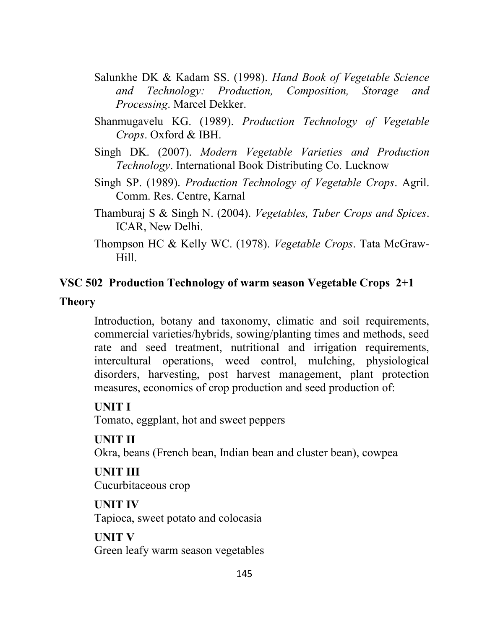- Salunkhe DK & Kadam SS. (1998). *Hand Book of Vegetable Science and Technology: Production, Composition, Storage and Processing*. Marcel Dekker.
- Shanmugavelu KG. (1989). *Production Technology of Vegetable Crops*. Oxford & IBH.
- Singh DK. (2007). *Modern Vegetable Varieties and Production Technology*. International Book Distributing Co. Lucknow
- Singh SP. (1989). *Production Technology of Vegetable Crops*. Agril. Comm. Res. Centre, Karnal
- Thamburaj S & Singh N. (2004). *Vegetables, Tuber Crops and Spices*. ICAR, New Delhi.
- Thompson HC & Kelly WC. (1978). *Vegetable Crops*. Tata McGraw-Hill.

#### **VSC 502 Production Technology of warm season Vegetable Crops 2+1**

#### **Theory**

Introduction, botany and taxonomy, climatic and soil requirements, commercial varieties/hybrids, sowing/planting times and methods, seed rate and seed treatment, nutritional and irrigation requirements, intercultural operations, weed control, mulching, physiological disorders, harvesting, post harvest management, plant protection measures, economics of crop production and seed production of:

#### **UNIT I**

Tomato, eggplant, hot and sweet peppers

#### **UNIT II**

Okra, beans (French bean, Indian bean and cluster bean), cowpea

#### **UNIT III** Cucurbitaceous crop

**UNIT IV** Tapioca, sweet potato and colocasia

## **UNIT V** Green leafy warm season vegetables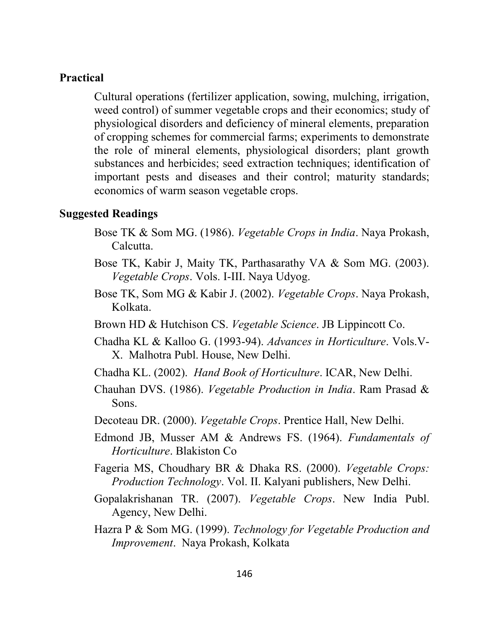#### **Practical**

Cultural operations (fertilizer application, sowing, mulching, irrigation, weed control) of summer vegetable crops and their economics; study of physiological disorders and deficiency of mineral elements, preparation of cropping schemes for commercial farms; experiments to demonstrate the role of mineral elements, physiological disorders; plant growth substances and herbicides; seed extraction techniques; identification of important pests and diseases and their control; maturity standards; economics of warm season vegetable crops.

#### **Suggested Readings**

- Bose TK & Som MG. (1986). *Vegetable Crops in India*. Naya Prokash, Calcutta.
- Bose TK, Kabir J, Maity TK, Parthasarathy VA & Som MG. (2003). *Vegetable Crops*. Vols. I-III. Naya Udyog.
- Bose TK, Som MG & Kabir J. (2002). *Vegetable Crops*. Naya Prokash, Kolkata.
- Brown HD & Hutchison CS. *Vegetable Science*. JB Lippincott Co.
- Chadha KL & Kalloo G. (1993-94). *Advances in Horticulture*. Vols.V-X. Malhotra Publ. House, New Delhi.
- Chadha KL. (2002). *Hand Book of Horticulture*. ICAR, New Delhi.
- Chauhan DVS. (1986). *Vegetable Production in India*. Ram Prasad & Sons.
- Decoteau DR. (2000). *Vegetable Crops*. Prentice Hall, New Delhi.
- Edmond JB, Musser AM & Andrews FS. (1964). *Fundamentals of Horticulture*. Blakiston Co
- Fageria MS, Choudhary BR & Dhaka RS. (2000). *Vegetable Crops: Production Technology*. Vol. II. Kalyani publishers, New Delhi.
- Gopalakrishanan TR. (2007). *Vegetable Crops*. New India Publ. Agency, New Delhi.
- Hazra P & Som MG. (1999). *Technology for Vegetable Production and Improvement*. Naya Prokash, Kolkata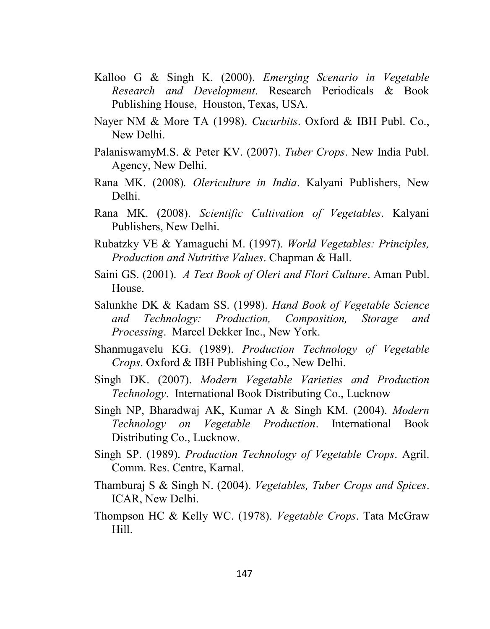- Kalloo G & Singh K. (2000). *Emerging Scenario in Vegetable Research and Development*. Research Periodicals & Book Publishing House, Houston, Texas, USA.
- Nayer NM & More TA (1998). *Cucurbits*. Oxford & IBH Publ. Co., New Delhi.
- PalaniswamyM.S. & Peter KV. (2007). *Tuber Crops*. New India Publ. Agency, New Delhi.
- Rana MK. (2008)*. Olericulture in India*. Kalyani Publishers, New Delhi.
- Rana MK. (2008). *Scientific Cultivation of Vegetables*. Kalyani Publishers, New Delhi.
- Rubatzky VE & Yamaguchi M. (1997). *World Vegetables: Principles, Production and Nutritive Values*. Chapman & Hall.
- Saini GS. (2001). *A Text Book of Oleri and Flori Culture*. Aman Publ. House.
- Salunkhe DK & Kadam SS. (1998). *Hand Book of Vegetable Science and Technology: Production, Composition, Storage and Processing*. Marcel Dekker Inc., New York.
- Shanmugavelu KG. (1989). *Production Technology of Vegetable Crops*. Oxford & IBH Publishing Co., New Delhi.
- Singh DK. (2007). *Modern Vegetable Varieties and Production Technology*. International Book Distributing Co., Lucknow
- Singh NP, Bharadwaj AK, Kumar A & Singh KM. (2004). *Modern Technology on Vegetable Production*. International Book Distributing Co., Lucknow.
- Singh SP. (1989). *Production Technology of Vegetable Crops*. Agril. Comm. Res. Centre, Karnal.
- Thamburaj S & Singh N. (2004). *Vegetables, Tuber Crops and Spices*. ICAR, New Delhi.
- Thompson HC & Kelly WC. (1978). *Vegetable Crops*. Tata McGraw Hill.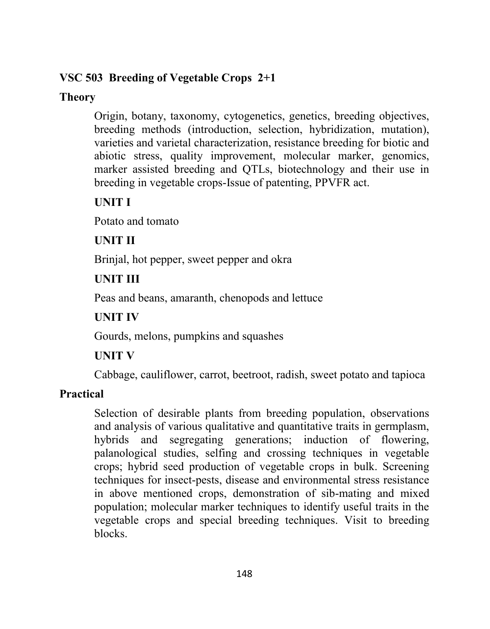## **VSC 503 Breeding of Vegetable Crops 2+1**

## **Theory**

Origin, botany, taxonomy, cytogenetics, genetics, breeding objectives, breeding methods (introduction, selection, hybridization, mutation), varieties and varietal characterization, resistance breeding for biotic and abiotic stress, quality improvement, molecular marker, genomics, marker assisted breeding and QTLs, biotechnology and their use in breeding in vegetable crops-Issue of patenting, PPVFR act.

# **UNIT I**

Potato and tomato

# **UNIT II**

Brinjal, hot pepper, sweet pepper and okra

# **UNIT III**

Peas and beans, amaranth, chenopods and lettuce

# **UNIT IV**

Gourds, melons, pumpkins and squashes

# **UNIT V**

Cabbage, cauliflower, carrot, beetroot, radish, sweet potato and tapioca

# **Practical**

Selection of desirable plants from breeding population, observations and analysis of various qualitative and quantitative traits in germplasm, hybrids and segregating generations; induction of flowering, palanological studies, selfing and crossing techniques in vegetable crops; hybrid seed production of vegetable crops in bulk. Screening techniques for insect-pests, disease and environmental stress resistance in above mentioned crops, demonstration of sib-mating and mixed population; molecular marker techniques to identify useful traits in the vegetable crops and special breeding techniques. Visit to breeding blocks.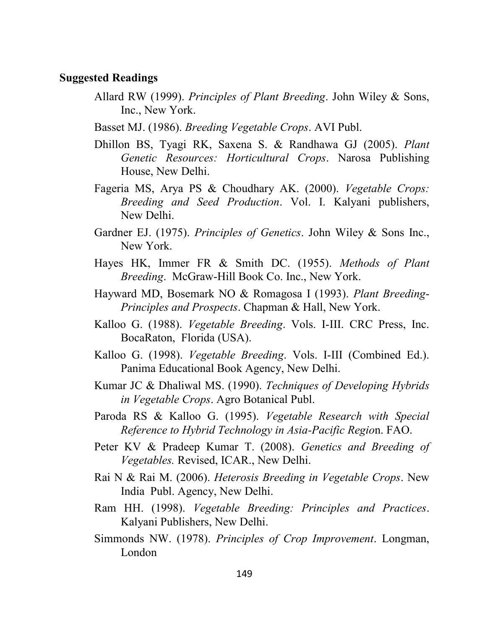#### **Suggested Readings**

- Allard RW (1999). *Principles of Plant Breeding*. John Wiley & Sons, Inc., New York.
- Basset MJ. (1986). *Breeding Vegetable Crops*. AVI Publ.
- Dhillon BS, Tyagi RK, Saxena S. & Randhawa GJ (2005). *Plant Genetic Resources: Horticultural Crops*. Narosa Publishing House, New Delhi.
- Fageria MS, Arya PS & Choudhary AK. (2000). *Vegetable Crops: Breeding and Seed Production*. Vol. I. Kalyani publishers, New Delhi.
- Gardner EJ. (1975). *Principles of Genetics*. John Wiley & Sons Inc., New York.
- Hayes HK, Immer FR & Smith DC. (1955). *Methods of Plant Breeding*. McGraw-Hill Book Co. Inc., New York.
- Hayward MD, Bosemark NO & Romagosa I (1993). *Plant Breeding*-*Principles and Prospects*. Chapman & Hall, New York.
- Kalloo G. (1988). *Vegetable Breeding*. Vols. I-III. CRC Press, Inc. BocaRaton, Florida (USA).
- Kalloo G. (1998). *Vegetable Breeding*. Vols. I-III (Combined Ed.). Panima Educational Book Agency, New Delhi.
- Kumar JC & Dhaliwal MS. (1990). *Techniques of Developing Hybrids in Vegetable Crops*. Agro Botanical Publ.
- Paroda RS & Kalloo G. (1995). *Vegetable Research with Special Reference to Hybrid Technology in Asia-Pacific Regio*n. FAO.
- Peter KV & Pradeep Kumar T. (2008). *Genetics and Breeding of Vegetables.* Revised, ICAR., New Delhi.
- Rai N & Rai M. (2006). *Heterosis Breeding in Vegetable Crops*. New India Publ. Agency, New Delhi.
- Ram HH. (1998). *Vegetable Breeding: Principles and Practices*. Kalyani Publishers, New Delhi.
- Simmonds NW. (1978). *Principles of Crop Improvement*. Longman, London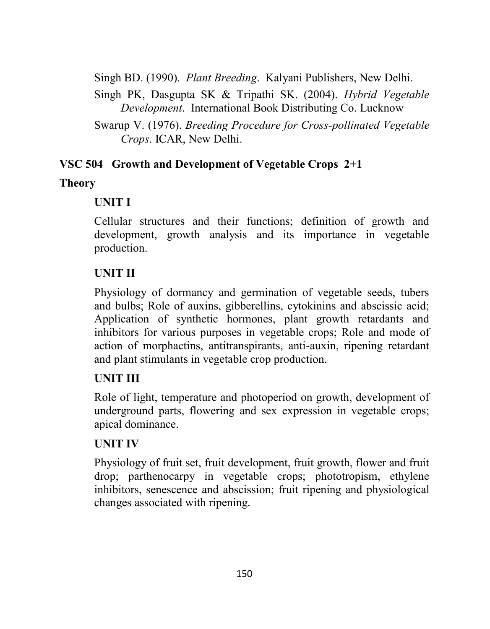Singh BD. (1990). *Plant Breeding*. Kalyani Publishers, New Delhi.

Singh PK, Dasgupta SK & Tripathi SK. (2004). *Hybrid Vegetable Development*. International Book Distributing Co. Lucknow

## **VSC 504 Growth and Development of Vegetable Crops 2+1**

## **Theory**

# **UNIT I**

Cellular structures and their functions; definition of growth and development, growth analysis and its importance in vegetable production.

# **UNIT II**

Physiology of dormancy and germination of vegetable seeds, tubers and bulbs; Role of auxins, gibberellins, cytokinins and abscissic acid; Application of synthetic hormones, plant growth retardants and inhibitors for various purposes in vegetable crops; Role and mode of action of morphactins, antitranspirants, anti-auxin, ripening retardant and plant stimulants in vegetable crop production.

# **UNIT III**

Role of light, temperature and photoperiod on growth, development of underground parts, flowering and sex expression in vegetable crops; apical dominance.

# **UNIT IV**

Physiology of fruit set, fruit development, fruit growth, flower and fruit drop; parthenocarpy in vegetable crops; phototropism, ethylene inhibitors, senescence and abscission; fruit ripening and physiological changes associated with ripening.

Swarup V. (1976). *Breeding Procedure for Cross-pollinated Vegetable Crops*. ICAR, New Delhi.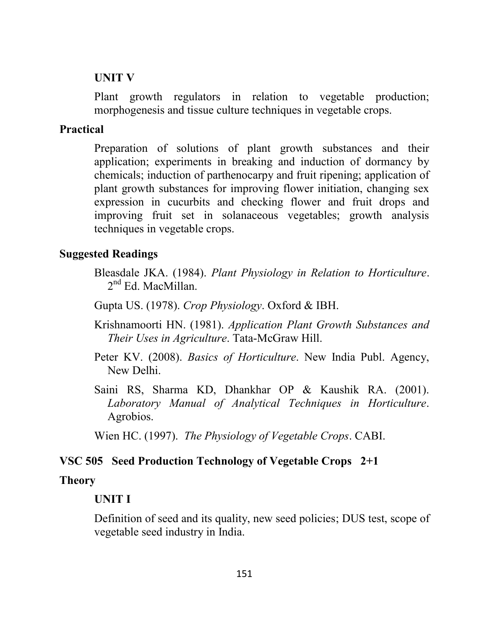#### **UNIT V**

Plant growth regulators in relation to vegetable production; morphogenesis and tissue culture techniques in vegetable crops.

#### **Practical**

Preparation of solutions of plant growth substances and their application; experiments in breaking and induction of dormancy by chemicals; induction of parthenocarpy and fruit ripening; application of plant growth substances for improving flower initiation, changing sex expression in cucurbits and checking flower and fruit drops and improving fruit set in solanaceous vegetables; growth analysis techniques in vegetable crops.

#### **Suggested Readings**

Bleasdale JKA. (1984). *Plant Physiology in Relation to Horticulture*. 2<sup>nd</sup> Ed. MacMillan.

Gupta US. (1978). *Crop Physiology*. Oxford & IBH.

Krishnamoorti HN. (1981). *Application Plant Growth Substances and Their Uses in Agriculture*. Tata-McGraw Hill.

- Peter KV. (2008). *Basics of Horticulture*. New India Publ. Agency, New Delhi.
- Saini RS, Sharma KD, Dhankhar OP & Kaushik RA. (2001). *Laboratory Manual of Analytical Techniques in Horticulture*. Agrobios.

Wien HC. (1997). *The Physiology of Vegetable Crops*. CABI.

#### **VSC 505 Seed Production Technology of Vegetable Crops 2+1**

#### **Theory**

#### **UNIT I**

Definition of seed and its quality, new seed policies; DUS test, scope of vegetable seed industry in India.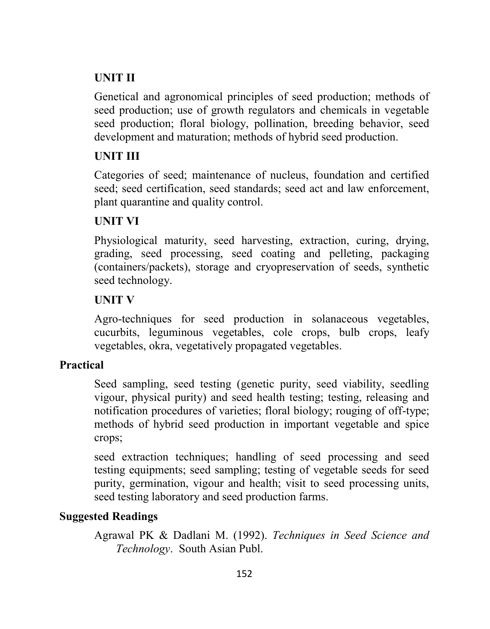## **UNIT II**

Genetical and agronomical principles of seed production; methods of seed production; use of growth regulators and chemicals in vegetable seed production; floral biology, pollination, breeding behavior, seed development and maturation; methods of hybrid seed production.

## **UNIT III**

Categories of seed; maintenance of nucleus, foundation and certified seed; seed certification, seed standards; seed act and law enforcement, plant quarantine and quality control.

## **UNIT VI**

Physiological maturity, seed harvesting, extraction, curing, drying, grading, seed processing, seed coating and pelleting, packaging (containers/packets), storage and cryopreservation of seeds, synthetic seed technology.

## **UNIT V**

Agro-techniques for seed production in solanaceous vegetables, cucurbits, leguminous vegetables, cole crops, bulb crops, leafy vegetables, okra, vegetatively propagated vegetables.

## **Practical**

Seed sampling, seed testing (genetic purity, seed viability, seedling vigour, physical purity) and seed health testing; testing, releasing and notification procedures of varieties; floral biology; rouging of off-type; methods of hybrid seed production in important vegetable and spice crops;

seed extraction techniques; handling of seed processing and seed testing equipments; seed sampling; testing of vegetable seeds for seed purity, germination, vigour and health; visit to seed processing units, seed testing laboratory and seed production farms.

## **Suggested Readings**

Agrawal PK & Dadlani M. (1992). *Techniques in Seed Science and Technology*. South Asian Publ.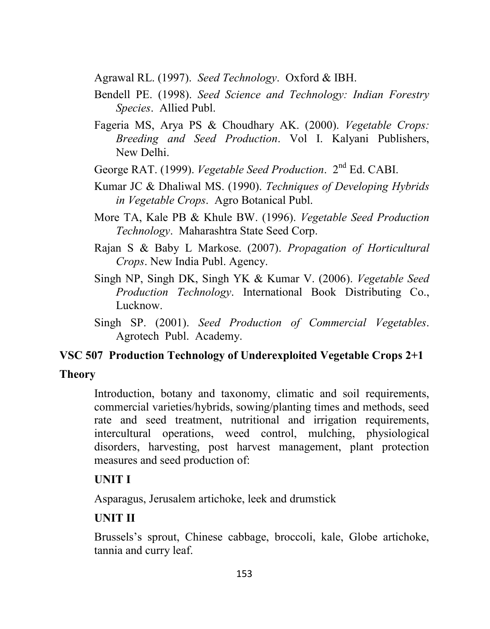Agrawal RL. (1997). *Seed Technology*. Oxford & IBH.

- Bendell PE. (1998). *Seed Science and Technology: Indian Forestry Species*. Allied Publ.
- Fageria MS, Arya PS & Choudhary AK. (2000). *Vegetable Crops: Breeding and Seed Production*. Vol I. Kalyani Publishers, New Delhi.
- George RAT. (1999). *Vegetable Seed Production*. 2 nd Ed. CABI.
- Kumar JC & Dhaliwal MS. (1990). *Techniques of Developing Hybrids in Vegetable Crops*. Agro Botanical Publ.
- More TA, Kale PB & Khule BW. (1996). *Vegetable Seed Production Technology*. Maharashtra State Seed Corp.
- Rajan S & Baby L Markose. (2007). *Propagation of Horticultural Crops*. New India Publ. Agency.
- Singh NP, Singh DK, Singh YK & Kumar V. (2006). *Vegetable Seed Production Technology*. International Book Distributing Co., Lucknow.
- Singh SP. (2001). *Seed Production of Commercial Vegetables*. Agrotech Publ. Academy.

## **VSC 507 Production Technology of Underexploited Vegetable Crops 2+1**

#### **Theory**

Introduction, botany and taxonomy, climatic and soil requirements, commercial varieties/hybrids, sowing/planting times and methods, seed rate and seed treatment, nutritional and irrigation requirements, intercultural operations, weed control, mulching, physiological disorders, harvesting, post harvest management, plant protection measures and seed production of:

## **UNIT I**

Asparagus, Jerusalem artichoke, leek and drumstick

## **UNIT II**

Brussels's sprout, Chinese cabbage, broccoli, kale, Globe artichoke, tannia and curry leaf.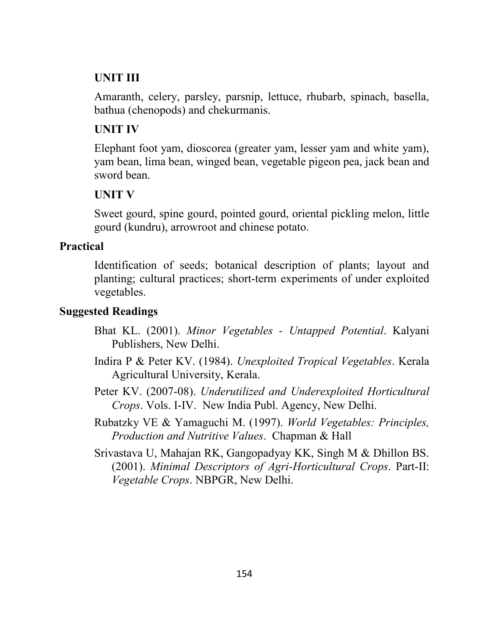## **UNIT III**

Amaranth, celery, parsley, parsnip, lettuce, rhubarb, spinach, basella, bathua (chenopods) and chekurmanis.

## **UNIT IV**

Elephant foot yam, dioscorea (greater yam, lesser yam and white yam), yam bean, lima bean, winged bean, vegetable pigeon pea, jack bean and sword bean.

## **UNIT V**

Sweet gourd, spine gourd, pointed gourd, oriental pickling melon, little gourd (kundru), arrowroot and chinese potato.

## **Practical**

Identification of seeds; botanical description of plants; layout and planting; cultural practices; short-term experiments of under exploited vegetables.

## **Suggested Readings**

- Bhat KL. (2001). *Minor Vegetables - Untapped Potential*. Kalyani Publishers, New Delhi.
- Indira P & Peter KV. (1984). *Unexploited Tropical Vegetables*. Kerala Agricultural University, Kerala.
- Peter KV. (2007-08). *Underutilized and Underexploited Horticultural Crops*. Vols. I-IV. New India Publ. Agency, New Delhi.
- Rubatzky VE & Yamaguchi M. (1997). *World Vegetables: Principles, Production and Nutritive Values*. Chapman & Hall
- Srivastava U, Mahajan RK, Gangopadyay KK, Singh M & Dhillon BS. (2001). *Minimal Descriptors of Agri-Horticultural Crops*. Part-II: *Vegetable Crops*. NBPGR, New Delhi.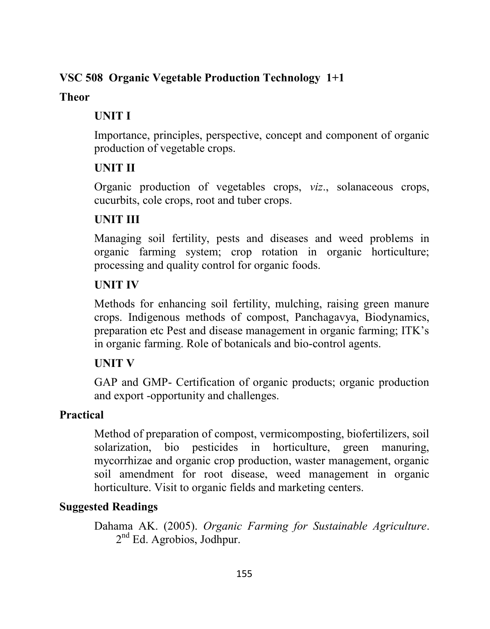## **VSC 508 Organic Vegetable Production Technology 1+1**

#### **Theor**

# **UNIT I**

Importance, principles, perspective, concept and component of organic production of vegetable crops.

# **UNIT II**

Organic production of vegetables crops, *viz*., solanaceous crops, cucurbits, cole crops, root and tuber crops.

# **UNIT III**

Managing soil fertility, pests and diseases and weed problems in organic farming system; crop rotation in organic horticulture; processing and quality control for organic foods.

# **UNIT IV**

Methods for enhancing soil fertility, mulching, raising green manure crops. Indigenous methods of compost, Panchagavya, Biodynamics, preparation etc Pest and disease management in organic farming; ITK's in organic farming. Role of botanicals and bio-control agents.

# **UNIT V**

GAP and GMP- Certification of organic products; organic production and export -opportunity and challenges.

# **Practical**

Method of preparation of compost, vermicomposting, biofertilizers, soil solarization, bio pesticides in horticulture, green manuring, mycorrhizae and organic crop production, waster management, organic soil amendment for root disease, weed management in organic horticulture. Visit to organic fields and marketing centers.

# **Suggested Readings**

Dahama AK. (2005). *Organic Farming for Sustainable Agriculture*. 2<sup>nd</sup> Ed. Agrobios, Jodhpur.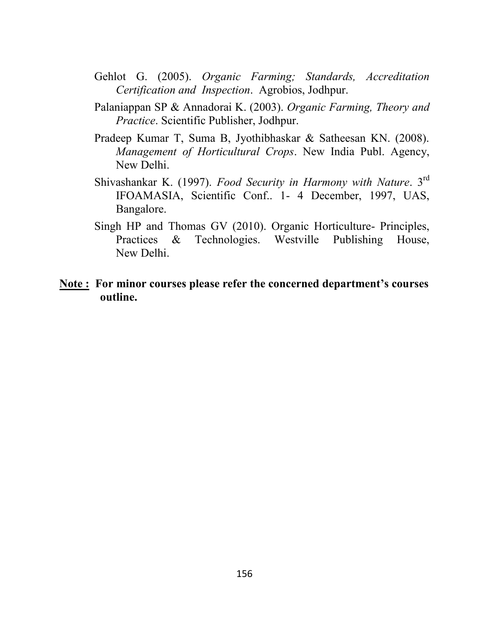- Gehlot G. (2005). *Organic Farming; Standards, Accreditation Certification and Inspection*. Agrobios, Jodhpur.
- Palaniappan SP & Annadorai K. (2003). *Organic Farming, Theory and Practice*. Scientific Publisher, Jodhpur.
- Pradeep Kumar T, Suma B, Jyothibhaskar & Satheesan KN. (2008). *Management of Horticultural Crops*. New India Publ. Agency, New Delhi.
- Shivashankar K. (1997). *Food Security in Harmony with Nature*. 3rd IFOAMASIA, Scientific Conf.. 1- 4 December, 1997, UAS, Bangalore.
- Singh HP and Thomas GV (2010). Organic Horticulture- Principles, Practices & Technologies. Westville Publishing House, New Delhi.

#### **Note : For minor courses please refer the concerned department's courses outline.**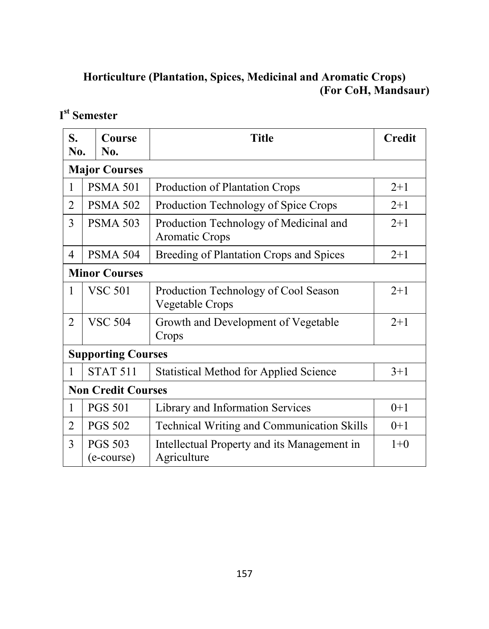# **Horticulture (Plantation, Spices, Medicinal and Aromatic Crops) (For CoH, Mandsaur)**

# **I st Semester**

| S.<br>No.            | Course<br>No.                | <b>Title</b>                                               | <b>Credit</b> |
|----------------------|------------------------------|------------------------------------------------------------|---------------|
|                      | <b>Major Courses</b>         |                                                            |               |
| 1                    | <b>PSMA 501</b>              | Production of Plantation Crops                             | $2+1$         |
| $\overline{2}$       | <b>PSMA 502</b>              | Production Technology of Spice Crops                       | $2 + 1$       |
| 3                    | <b>PSMA 503</b>              | Production Technology of Medicinal and<br>Aromatic Crops   | $2 + 1$       |
| $\overline{4}$       | <b>PSMA 504</b>              | Breeding of Plantation Crops and Spices                    | $2 + 1$       |
| <b>Minor Courses</b> |                              |                                                            |               |
| 1                    | <b>VSC 501</b>               | Production Technology of Cool Season<br>Vegetable Crops    | $2+1$         |
| $\overline{2}$       | <b>VSC 504</b>               | Growth and Development of Vegetable<br>Crops               | $2+1$         |
|                      | <b>Supporting Courses</b>    |                                                            |               |
| 1                    | <b>STAT 511</b>              | <b>Statistical Method for Applied Science</b>              | $3+1$         |
|                      | <b>Non Credit Courses</b>    |                                                            |               |
| 1                    | <b>PGS 501</b>               | Library and Information Services                           | $0+1$         |
| $\overline{2}$       | <b>PGS 502</b>               | <b>Technical Writing and Communication Skills</b>          | $0+1$         |
| 3                    | <b>PGS 503</b><br>(e-course) | Intellectual Property and its Management in<br>Agriculture | $1+0$         |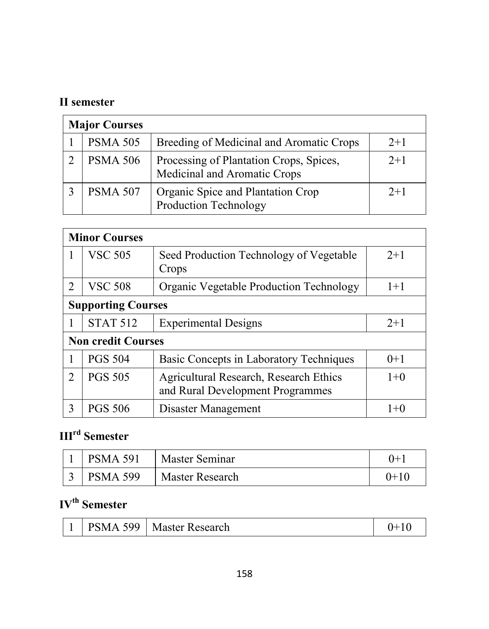# **II semester**

| <b>Major Courses</b> |                                                                         |       |  |
|----------------------|-------------------------------------------------------------------------|-------|--|
| <b>PSMA 505</b>      | Breeding of Medicinal and Aromatic Crops                                | $2+1$ |  |
| <b>PSMA 506</b>      | Processing of Plantation Crops, Spices,<br>Medicinal and Aromatic Crops | $2+1$ |  |
| <b>PSMA 507</b>      | Organic Spice and Plantation Crop<br>Production Technology              | $2+1$ |  |

|                             | <b>Minor Courses</b>      |                                                                            |         |  |
|-----------------------------|---------------------------|----------------------------------------------------------------------------|---------|--|
|                             | <b>VSC 505</b>            | Seed Production Technology of Vegetable<br>Crops                           | $2+1$   |  |
| 2                           | <b>VSC 508</b>            | <b>Organic Vegetable Production Technology</b>                             | $1+1$   |  |
|                             | <b>Supporting Courses</b> |                                                                            |         |  |
|                             | <b>STAT 512</b>           | <b>Experimental Designs</b>                                                | $2+1$   |  |
|                             | <b>Non credit Courses</b> |                                                                            |         |  |
|                             | <b>PGS 504</b>            | Basic Concepts in Laboratory Techniques                                    | $0+1$   |  |
| $\mathcal{D}_{\mathcal{L}}$ | <b>PGS 505</b>            | Agricultural Research, Research Ethics<br>and Rural Development Programmes | $1+0$   |  |
| 3                           | <b>PGS 506</b>            | Disaster Management                                                        | $1 + 0$ |  |

# **IIIrd Semester**

| <b>PSMA 591</b> | Master Seminar  | 0+1    |
|-----------------|-----------------|--------|
| <b>PSMA 599</b> | Master Research | $0+10$ |

# **IVth Semester**

|  | <b>PSMA 599</b> | Master Research |  |
|--|-----------------|-----------------|--|
|--|-----------------|-----------------|--|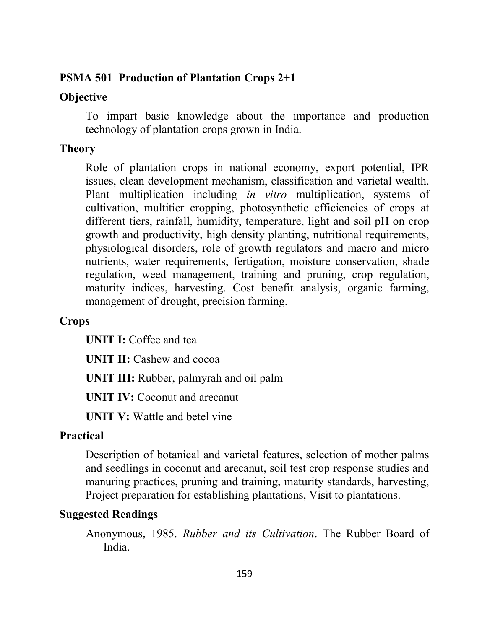#### **PSMA 501 Production of Plantation Crops 2+1**

#### **Objective**

To impart basic knowledge about the importance and production technology of plantation crops grown in India.

#### **Theory**

Role of plantation crops in national economy, export potential, IPR issues, clean development mechanism, classification and varietal wealth. Plant multiplication including *in vitro* multiplication, systems of cultivation, multitier cropping, photosynthetic efficiencies of crops at different tiers, rainfall, humidity, temperature, light and soil pH on crop growth and productivity, high density planting, nutritional requirements, physiological disorders, role of growth regulators and macro and micro nutrients, water requirements, fertigation, moisture conservation, shade regulation, weed management, training and pruning, crop regulation, maturity indices, harvesting. Cost benefit analysis, organic farming, management of drought, precision farming.

#### **Crops**

**UNIT I:** Coffee and tea

**UNIT II:** Cashew and cocoa

**UNIT III:** Rubber, palmyrah and oil palm

**UNIT IV:** Coconut and arecanut

**UNIT V:** Wattle and betel vine

## **Practical**

Description of botanical and varietal features, selection of mother palms and seedlings in coconut and arecanut, soil test crop response studies and manuring practices, pruning and training, maturity standards, harvesting, Project preparation for establishing plantations, Visit to plantations.

#### **Suggested Readings**

Anonymous, 1985. *Rubber and its Cultivation*. The Rubber Board of India.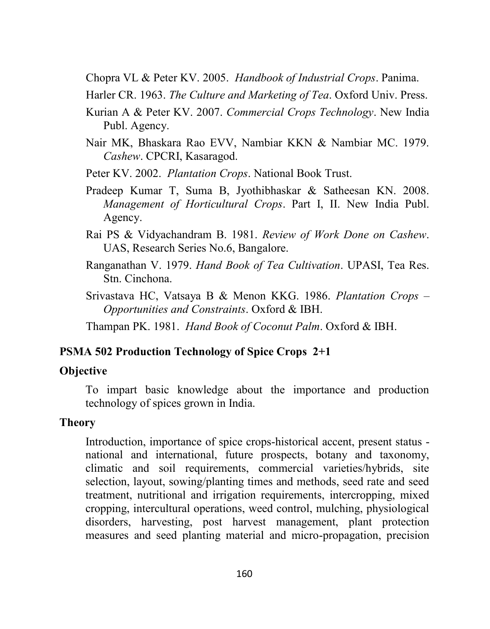Chopra VL & Peter KV. 2005. *Handbook of Industrial Crops*. Panima.

- Harler CR. 1963. *The Culture and Marketing of Tea*. Oxford Univ. Press.
- Kurian A & Peter KV. 2007. *Commercial Crops Technology*. New India Publ. Agency.
- Nair MK, Bhaskara Rao EVV, Nambiar KKN & Nambiar MC. 1979. *Cashew*. CPCRI, Kasaragod.
- Peter KV. 2002. *Plantation Crops*. National Book Trust.
- Pradeep Kumar T, Suma B, Jyothibhaskar & Satheesan KN. 2008. *Management of Horticultural Crops*. Part I, II. New India Publ. Agency.
- Rai PS & Vidyachandram B. 1981. *Review of Work Done on Cashew*. UAS, Research Series No.6, Bangalore.
- Ranganathan V. 1979. *Hand Book of Tea Cultivation*. UPASI, Tea Res. Stn. Cinchona.
- Srivastava HC, Vatsaya B & Menon KKG. 1986. *Plantation Crops – Opportunities and Constraints*. Oxford & IBH.

Thampan PK. 1981. *Hand Book of Coconut Palm*. Oxford & IBH.

#### **PSMA 502 Production Technology of Spice Crops 2+1**

#### **Objective**

To impart basic knowledge about the importance and production technology of spices grown in India.

#### **Theory**

Introduction, importance of spice crops-historical accent, present status national and international, future prospects, botany and taxonomy, climatic and soil requirements, commercial varieties/hybrids, site selection, layout, sowing/planting times and methods, seed rate and seed treatment, nutritional and irrigation requirements, intercropping, mixed cropping, intercultural operations, weed control, mulching, physiological disorders, harvesting, post harvest management, plant protection measures and seed planting material and micro-propagation, precision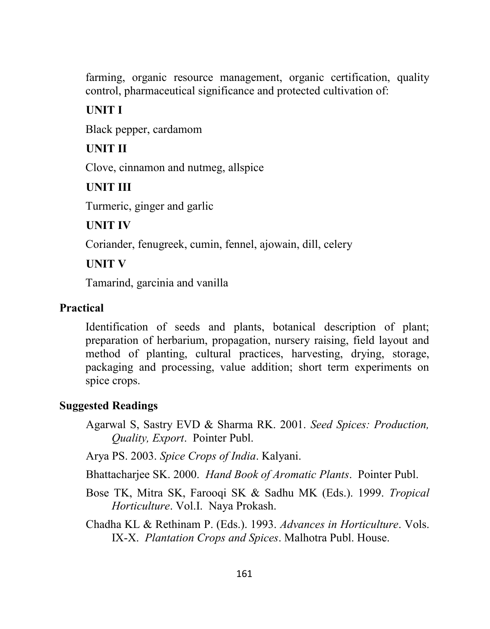farming, organic resource management, organic certification, quality control, pharmaceutical significance and protected cultivation of:

## **UNIT I**

Black pepper, cardamom

## **UNIT II**

Clove, cinnamon and nutmeg, allspice

**UNIT III**

Turmeric, ginger and garlic

#### **UNIT IV**

Coriander, fenugreek, cumin, fennel, ajowain, dill, celery

## **UNIT V**

Tamarind, garcinia and vanilla

## **Practical**

Identification of seeds and plants, botanical description of plant; preparation of herbarium, propagation, nursery raising, field layout and method of planting, cultural practices, harvesting, drying, storage, packaging and processing, value addition; short term experiments on spice crops.

## **Suggested Readings**

Agarwal S, Sastry EVD & Sharma RK. 2001. *Seed Spices: Production, Quality, Export*. Pointer Publ.

Arya PS. 2003. *Spice Crops of India*. Kalyani.

Bhattacharjee SK. 2000. *Hand Book of Aromatic Plants*. Pointer Publ.

Bose TK, Mitra SK, Farooqi SK & Sadhu MK (Eds.). 1999. *Tropical Horticulture*. Vol.I. Naya Prokash.

Chadha KL & Rethinam P. (Eds.). 1993. *Advances in Horticulture*. Vols. IX-X. *Plantation Crops and Spices*. Malhotra Publ. House.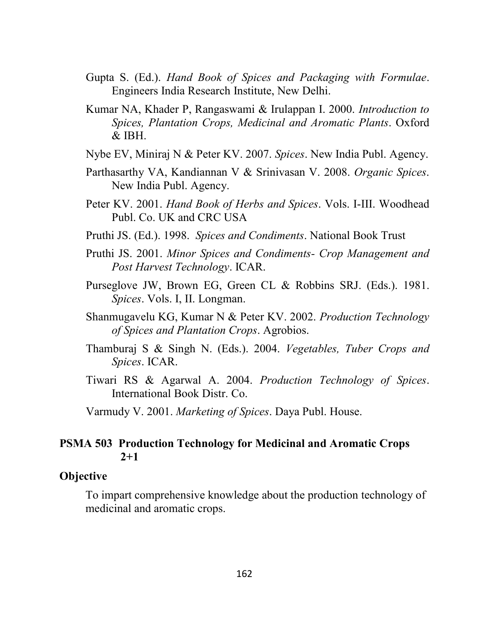- Gupta S. (Ed.). *Hand Book of Spices and Packaging with Formulae*. Engineers India Research Institute, New Delhi.
- Kumar NA, Khader P, Rangaswami & Irulappan I. 2000. *Introduction to Spices, Plantation Crops, Medicinal and Aromatic Plants*. Oxford  $\&$  IBH.
- Nybe EV, Miniraj N & Peter KV. 2007. *Spices*. New India Publ. Agency.
- Parthasarthy VA, Kandiannan V & Srinivasan V. 2008. *Organic Spices*. New India Publ. Agency.
- Peter KV. 2001. *Hand Book of Herbs and Spices*. Vols. I-III. Woodhead Publ. Co. UK and CRC USA
- Pruthi JS. (Ed.). 1998. *Spices and Condiments*. National Book Trust
- Pruthi JS. 2001. *Minor Spices and Condiments- Crop Management and Post Harvest Technology*. ICAR.
- Purseglove JW, Brown EG, Green CL & Robbins SRJ. (Eds.). 1981. *Spices*. Vols. I, II. Longman.
- Shanmugavelu KG, Kumar N & Peter KV. 2002. *Production Technology of Spices and Plantation Crops*. Agrobios.
- Thamburaj S & Singh N. (Eds.). 2004. *Vegetables, Tuber Crops and Spices*. ICAR.
- Tiwari RS & Agarwal A. 2004. *Production Technology of Spices*. International Book Distr. Co.

Varmudy V. 2001. *Marketing of Spices*. Daya Publ. House.

#### **PSMA 503 Production Technology for Medicinal and Aromatic Crops 2+1**

#### **Objective**

To impart comprehensive knowledge about the production technology of medicinal and aromatic crops.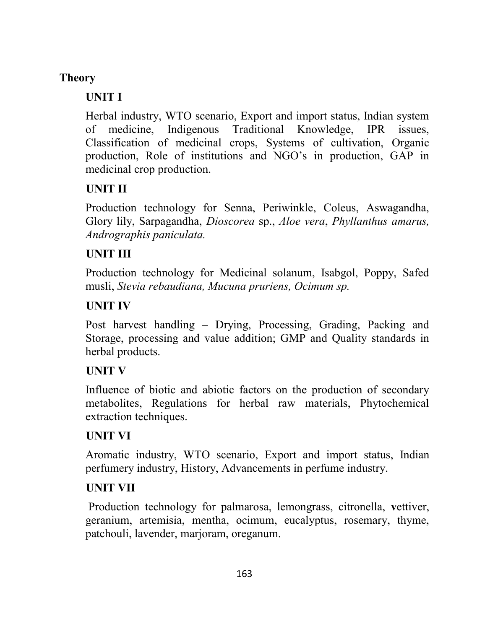# **Theory**

# **UNIT I**

Herbal industry, WTO scenario, Export and import status, Indian system of medicine, Indigenous Traditional Knowledge, IPR issues, Classification of medicinal crops, Systems of cultivation, Organic production, Role of institutions and NGO's in production, GAP in medicinal crop production.

# **UNIT II**

Production technology for Senna, Periwinkle, Coleus, Aswagandha, Glory lily, Sarpagandha, *Dioscorea* sp., *Aloe vera*, *Phyllanthus amarus, Andrographis paniculata.*

# **UNIT III**

Production technology for Medicinal solanum, Isabgol, Poppy, Safed musli, *Stevia rebaudiana, Mucuna pruriens, Ocimum sp.*

# **UNIT IV**

Post harvest handling – Drying, Processing, Grading, Packing and Storage, processing and value addition; GMP and Quality standards in herbal products.

# **UNIT V**

Influence of biotic and abiotic factors on the production of secondary metabolites, Regulations for herbal raw materials, Phytochemical extraction techniques.

# **UNIT VI**

Aromatic industry, WTO scenario, Export and import status, Indian perfumery industry, History, Advancements in perfume industry.

# **UNIT VII**

Production technology for palmarosa, lemongrass, citronella, **v**ettiver, geranium, artemisia, mentha, ocimum, eucalyptus, rosemary, thyme, patchouli, lavender, marjoram, oreganum.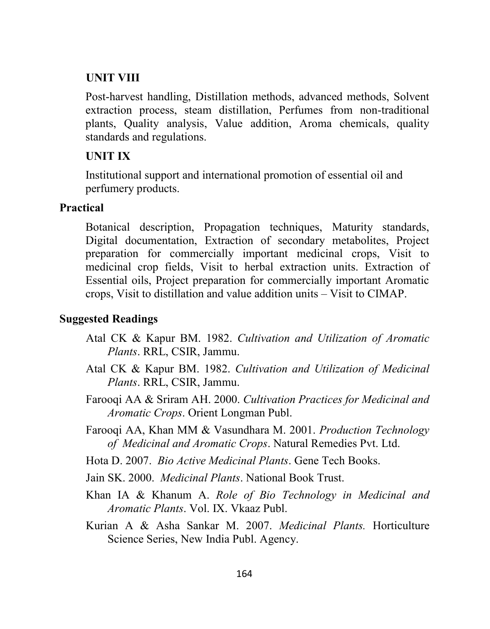#### **UNIT VIII**

Post-harvest handling, Distillation methods, advanced methods, Solvent extraction process, steam distillation, Perfumes from non-traditional plants, Quality analysis, Value addition, Aroma chemicals, quality standards and regulations.

#### **UNIT IX**

Institutional support and international promotion of essential oil and perfumery products.

#### **Practical**

Botanical description, Propagation techniques, Maturity standards, Digital documentation, Extraction of secondary metabolites, Project preparation for commercially important medicinal crops, Visit to medicinal crop fields, Visit to herbal extraction units. Extraction of Essential oils, Project preparation for commercially important Aromatic crops, Visit to distillation and value addition units – Visit to CIMAP.

#### **Suggested Readings**

- Atal CK & Kapur BM. 1982. *Cultivation and Utilization of Aromatic Plants*. RRL, CSIR, Jammu.
- Atal CK & Kapur BM. 1982. *Cultivation and Utilization of Medicinal Plants*. RRL, CSIR, Jammu.
- Farooqi AA & Sriram AH. 2000. *Cultivation Practices for Medicinal and Aromatic Crops*. Orient Longman Publ.
- Farooqi AA, Khan MM & Vasundhara M. 2001. *Production Technology of Medicinal and Aromatic Crops*. Natural Remedies Pvt. Ltd.
- Hota D. 2007. *Bio Active Medicinal Plants*. Gene Tech Books.
- Jain SK. 2000. *Medicinal Plants*. National Book Trust.
- Khan IA & Khanum A. *Role of Bio Technology in Medicinal and Aromatic Plants*. Vol. IX. Vkaaz Publ.
- Kurian A & Asha Sankar M. 2007. *Medicinal Plants.* Horticulture Science Series, New India Publ. Agency.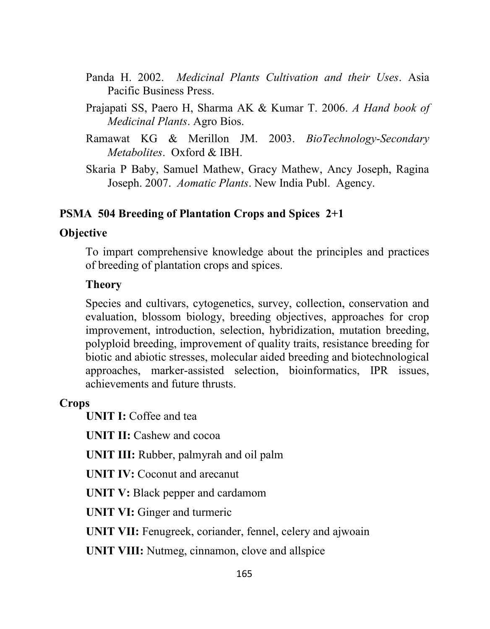- Panda H. 2002. *Medicinal Plants Cultivation and their Uses*. Asia Pacific Business Press.
- Prajapati SS, Paero H, Sharma AK & Kumar T. 2006. *A Hand book of Medicinal Plants*. Agro Bios.
- Ramawat KG & Merillon JM. 2003. *BioTechnology-Secondary Metabolites*. Oxford & IBH.
- Skaria P Baby, Samuel Mathew, Gracy Mathew, Ancy Joseph, Ragina Joseph. 2007. *Aomatic Plants*. New India Publ. Agency.

#### **PSMA 504 Breeding of Plantation Crops and Spices 2+1**

#### **Objective**

To impart comprehensive knowledge about the principles and practices of breeding of plantation crops and spices.

#### **Theory**

Species and cultivars, cytogenetics, survey, collection, conservation and evaluation, blossom biology, breeding objectives, approaches for crop improvement, introduction, selection, hybridization, mutation breeding, polyploid breeding, improvement of quality traits, resistance breeding for biotic and abiotic stresses, molecular aided breeding and biotechnological approaches, marker-assisted selection, bioinformatics, IPR issues, achievements and future thrusts.

#### **Crops**

**UNIT I:** Coffee and tea

**UNIT II:** Cashew and cocoa

**UNIT III:** Rubber, palmyrah and oil palm

**UNIT IV:** Coconut and arecanut

**UNIT V:** Black pepper and cardamom

**UNIT VI:** Ginger and turmeric

**UNIT VII:** Fenugreek, coriander, fennel, celery and ajwoain

**UNIT VIII:** Nutmeg, cinnamon, clove and allspice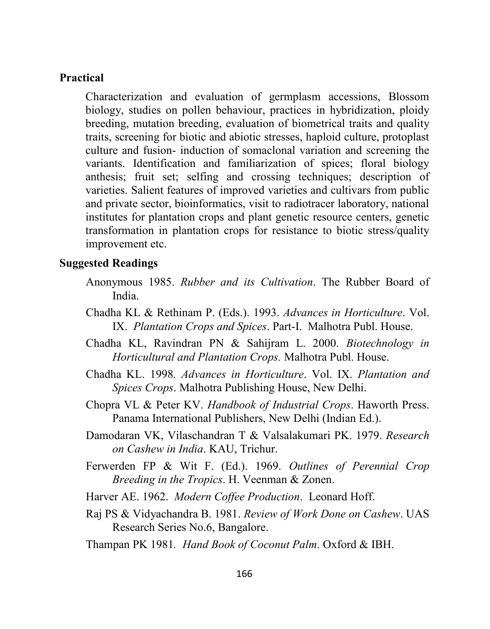#### **Practical**

Characterization and evaluation of germplasm accessions, Blossom biology, studies on pollen behaviour, practices in hybridization, ploidy breeding, mutation breeding, evaluation of biometrical traits and quality traits, screening for biotic and abiotic stresses, haploid culture, protoplast culture and fusion- induction of somaclonal variation and screening the variants. Identification and familiarization of spices; floral biology anthesis; fruit set; selfing and crossing techniques; description of varieties. Salient features of improved varieties and cultivars from public and private sector, bioinformatics, visit to radiotracer laboratory, national institutes for plantation crops and plant genetic resource centers, genetic transformation in plantation crops for resistance to biotic stress/quality improvement etc.

#### **Suggested Readings**

- Anonymous 1985. *Rubber and its Cultivation*. The Rubber Board of India.
- Chadha KL & Rethinam P. (Eds.). 1993. *Advances in Horticulture*. Vol. IX. *Plantation Crops and Spices*. Part-I. Malhotra Publ. House.
- Chadha KL, Ravindran PN & Sahijram L. 2000. *Biotechnology in Horticultural and Plantation Crops.* Malhotra Publ. House.
- Chadha KL. 1998*. Advances in Horticulture*. Vol. IX. *Plantation and Spices Crops*. Malhotra Publishing House, New Delhi.
- Chopra VL & Peter KV. *Handbook of Industrial Crops*. Haworth Press. Panama International Publishers, New Delhi (Indian Ed.).
- Damodaran VK, Vilaschandran T & Valsalakumari PK. 1979. *Research on Cashew in India*. KAU, Trichur.
- Ferwerden FP & Wit F. (Ed.). 1969. *Outlines of Perennial Crop Breeding in the Tropics*. H. Veenman & Zonen.
- Harver AE. 1962. *Modern Coffee Production*. Leonard Hoff.
- Raj PS & Vidyachandra B. 1981. *Review of Work Done on Cashew*. UAS Research Series No.6, Bangalore.

Thampan PK 1981*. Hand Book of Coconut Palm*. Oxford & IBH.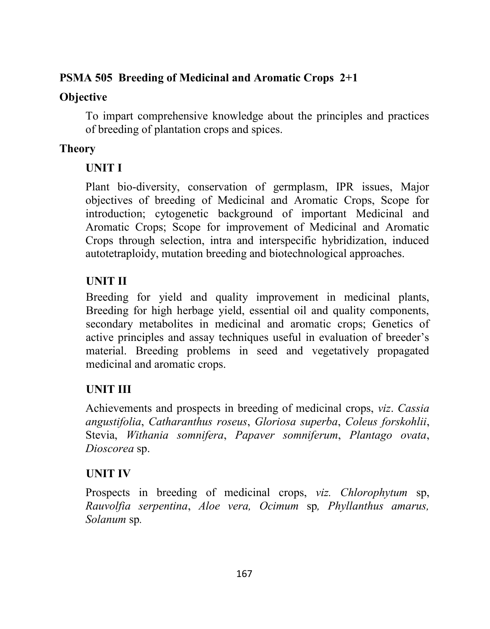## **PSMA 505 Breeding of Medicinal and Aromatic Crops 2+1**

## **Objective**

To impart comprehensive knowledge about the principles and practices of breeding of plantation crops and spices.

## **Theory**

## **UNIT I**

Plant bio-diversity, conservation of germplasm, IPR issues, Major objectives of breeding of Medicinal and Aromatic Crops, Scope for introduction; cytogenetic background of important Medicinal and Aromatic Crops; Scope for improvement of Medicinal and Aromatic Crops through selection, intra and interspecific hybridization, induced autotetraploidy, mutation breeding and biotechnological approaches.

# **UNIT II**

Breeding for yield and quality improvement in medicinal plants, Breeding for high herbage yield, essential oil and quality components, secondary metabolites in medicinal and aromatic crops; Genetics of active principles and assay techniques useful in evaluation of breeder's material. Breeding problems in seed and vegetatively propagated medicinal and aromatic crops.

# **UNIT III**

Achievements and prospects in breeding of medicinal crops, *viz*. *Cassia angustifolia*, *Catharanthus roseus*, *Gloriosa superba*, *Coleus forskohlii*, Stevia, *Withania somnifera*, *Papaver somniferum*, *Plantago ovata*, *Dioscorea* sp.

## **UNIT IV**

Prospects in breeding of medicinal crops, *viz. Chlorophytum* sp, *Rauvolfia serpentina*, *Aloe vera, Ocimum* sp*, Phyllanthus amarus, Solanum* sp*.*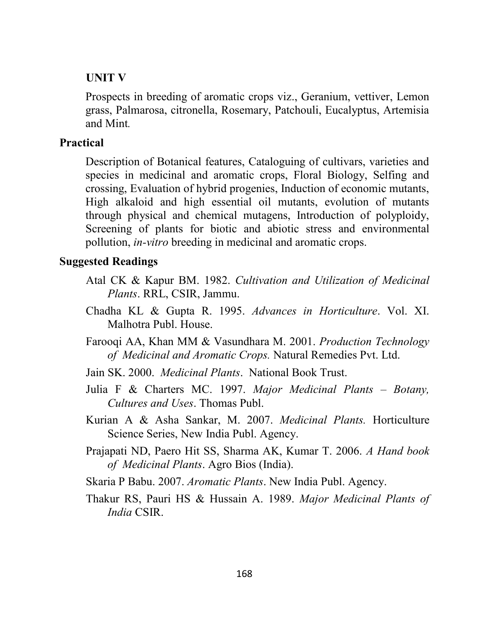#### **UNIT V**

Prospects in breeding of aromatic crops viz., Geranium, vettiver, Lemon grass, Palmarosa, citronella, Rosemary, Patchouli, Eucalyptus, Artemisia and Mint*.*

#### **Practical**

Description of Botanical features, Cataloguing of cultivars, varieties and species in medicinal and aromatic crops, Floral Biology, Selfing and crossing, Evaluation of hybrid progenies, Induction of economic mutants, High alkaloid and high essential oil mutants, evolution of mutants through physical and chemical mutagens, Introduction of polyploidy, Screening of plants for biotic and abiotic stress and environmental pollution, *in-vitro* breeding in medicinal and aromatic crops.

#### **Suggested Readings**

- Atal CK & Kapur BM. 1982. *Cultivation and Utilization of Medicinal Plants*. RRL, CSIR, Jammu.
- Chadha KL & Gupta R. 1995. *Advances in Horticulture*. Vol. XI. Malhotra Publ. House.
- Farooqi AA, Khan MM & Vasundhara M. 2001. *Production Technology of Medicinal and Aromatic Crops.* Natural Remedies Pvt. Ltd.
- Jain SK. 2000. *Medicinal Plants*. National Book Trust.
- Julia F & Charters MC. 1997. *Major Medicinal Plants – Botany, Cultures and Uses*. Thomas Publ.
- Kurian A & Asha Sankar, M. 2007. *Medicinal Plants.* Horticulture Science Series, New India Publ. Agency.
- Prajapati ND, Paero Hit SS, Sharma AK, Kumar T. 2006. *A Hand book of Medicinal Plants*. Agro Bios (India).
- Skaria P Babu. 2007. *Aromatic Plants*. New India Publ. Agency.
- Thakur RS, Pauri HS & Hussain A. 1989. *Major Medicinal Plants of India* CSIR.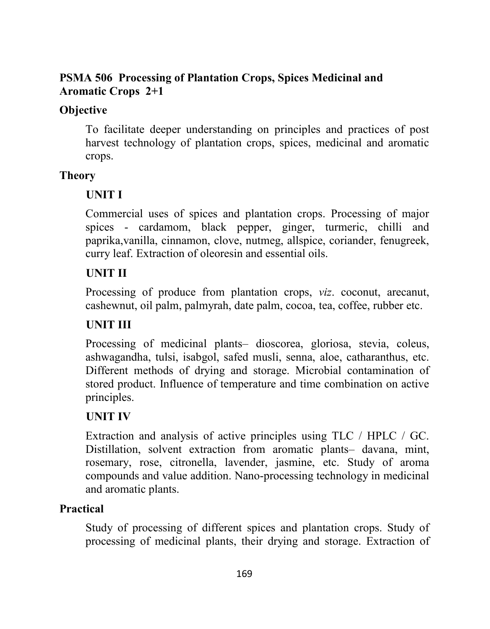## **PSMA 506 Processing of Plantation Crops, Spices Medicinal and Aromatic Crops 2+1**

## **Objective**

To facilitate deeper understanding on principles and practices of post harvest technology of plantation crops, spices, medicinal and aromatic crops.

## **Theory**

# **UNIT I**

Commercial uses of spices and plantation crops. Processing of major spices - cardamom, black pepper, ginger, turmeric, chilli and paprika,vanilla, cinnamon, clove, nutmeg, allspice, coriander, fenugreek, curry leaf. Extraction of oleoresin and essential oils.

# **UNIT II**

Processing of produce from plantation crops, *viz*. coconut, arecanut, cashewnut, oil palm, palmyrah, date palm, cocoa, tea, coffee, rubber etc.

# **UNIT III**

Processing of medicinal plants– dioscorea, gloriosa, stevia, coleus, ashwagandha, tulsi, isabgol, safed musli, senna, aloe, catharanthus, etc. Different methods of drying and storage. Microbial contamination of stored product. Influence of temperature and time combination on active principles.

# **UNIT IV**

Extraction and analysis of active principles using TLC / HPLC / GC. Distillation, solvent extraction from aromatic plants– davana, mint, rosemary, rose, citronella, lavender, jasmine, etc. Study of aroma compounds and value addition. Nano-processing technology in medicinal and aromatic plants.

# **Practical**

Study of processing of different spices and plantation crops. Study of processing of medicinal plants, their drying and storage. Extraction of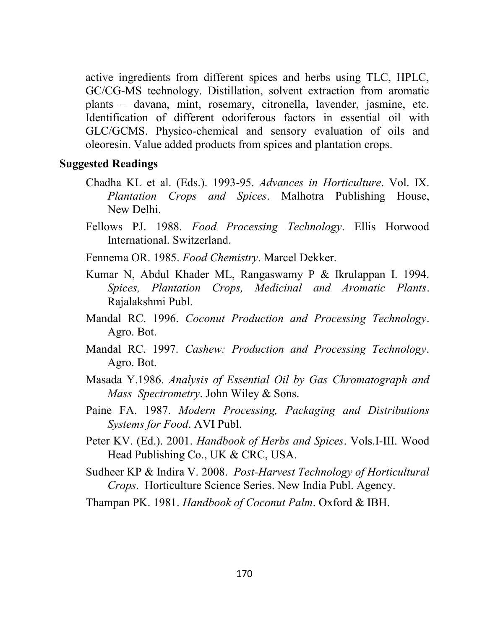active ingredients from different spices and herbs using TLC, HPLC, GC/CG-MS technology. Distillation, solvent extraction from aromatic plants – davana, mint, rosemary, citronella, lavender, jasmine, etc. Identification of different odoriferous factors in essential oil with GLC/GCMS. Physico-chemical and sensory evaluation of oils and oleoresin. Value added products from spices and plantation crops.

#### **Suggested Readings**

- Chadha KL et al. (Eds.). 1993-95. *Advances in Horticulture*. Vol. IX. *Plantation Crops and Spices*. Malhotra Publishing House, New Delhi.
- Fellows PJ. 1988. *Food Processing Technology*. Ellis Horwood International. Switzerland.
- Fennema OR. 1985. *Food Chemistry*. Marcel Dekker.
- Kumar N, Abdul Khader ML, Rangaswamy P & Ikrulappan I. 1994. *Spices, Plantation Crops, Medicinal and Aromatic Plants*. Rajalakshmi Publ.
- Mandal RC. 1996. *Coconut Production and Processing Technology*. Agro. Bot.
- Mandal RC. 1997. *Cashew: Production and Processing Technology*. Agro. Bot.
- Masada Y.1986. *Analysis of Essential Oil by Gas Chromatograph and Mass Spectrometry*. John Wiley & Sons.
- Paine FA. 1987. *Modern Processing, Packaging and Distributions Systems for Food*. AVI Publ.
- Peter KV. (Ed.). 2001. *Handbook of Herbs and Spices*. Vols.I-III. Wood Head Publishing Co., UK & CRC, USA.
- Sudheer KP & Indira V. 2008. *Post-Harvest Technology of Horticultural Crops*. Horticulture Science Series. New India Publ. Agency.

Thampan PK. 1981. *Handbook of Coconut Palm*. Oxford & IBH.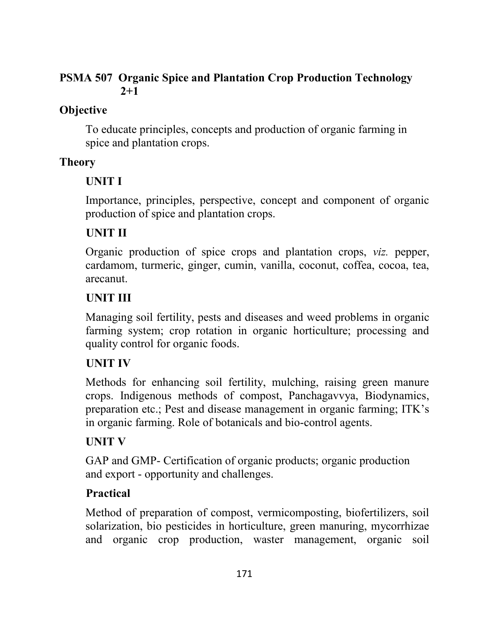## **PSMA 507 Organic Spice and Plantation Crop Production Technology 2+1**

## **Objective**

To educate principles, concepts and production of organic farming in spice and plantation crops.

## **Theory**

# **UNIT I**

Importance, principles, perspective, concept and component of organic production of spice and plantation crops.

## **UNIT II**

Organic production of spice crops and plantation crops, *viz.* pepper, cardamom, turmeric, ginger, cumin, vanilla, coconut, coffea, cocoa, tea, arecanut.

## **UNIT III**

Managing soil fertility, pests and diseases and weed problems in organic farming system; crop rotation in organic horticulture; processing and quality control for organic foods.

# **UNIT IV**

Methods for enhancing soil fertility, mulching, raising green manure crops. Indigenous methods of compost, Panchagavvya, Biodynamics, preparation etc.; Pest and disease management in organic farming; ITK's in organic farming. Role of botanicals and bio-control agents.

# **UNIT V**

GAP and GMP- Certification of organic products; organic production and export - opportunity and challenges.

# **Practical**

Method of preparation of compost, vermicomposting, biofertilizers, soil solarization, bio pesticides in horticulture, green manuring, mycorrhizae and organic crop production, waster management, organic soil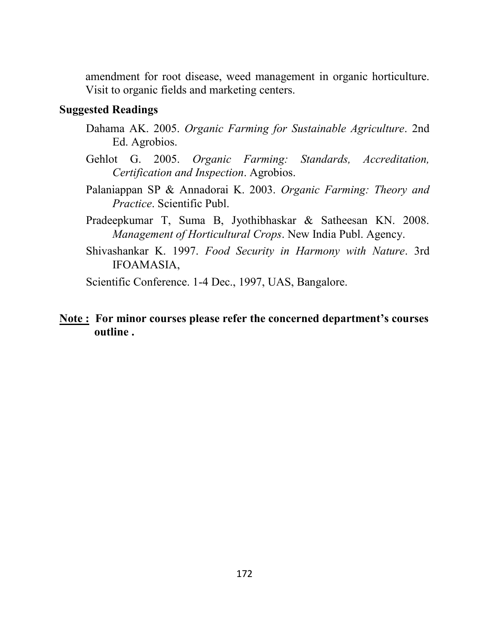amendment for root disease, weed management in organic horticulture. Visit to organic fields and marketing centers.

#### **Suggested Readings**

- Dahama AK. 2005. *Organic Farming for Sustainable Agriculture*. 2nd Ed. Agrobios.
- Gehlot G. 2005. *Organic Farming: Standards, Accreditation, Certification and Inspection*. Agrobios.
- Palaniappan SP & Annadorai K. 2003. *Organic Farming: Theory and Practice*. Scientific Publ.
- Pradeepkumar T, Suma B, Jyothibhaskar & Satheesan KN. 2008. *Management of Horticultural Crops*. New India Publ. Agency.
- Shivashankar K. 1997. *Food Security in Harmony with Nature*. 3rd IFOAMASIA,

Scientific Conference. 1-4 Dec., 1997, UAS, Bangalore.

#### **Note : For minor courses please refer the concerned department's courses outline .**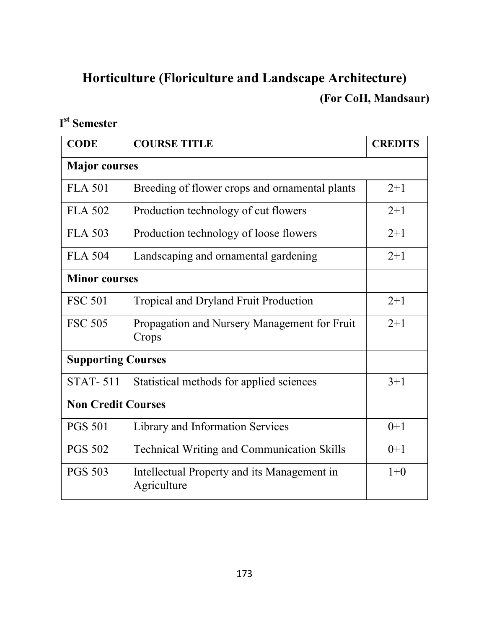# **Horticulture (Floriculture and Landscape Architecture) (For CoH, Mandsaur)**

# **I st Semester**

| <b>CODE</b>               | <b>COURSE TITLE</b>                                        | <b>CREDITS</b> |  |
|---------------------------|------------------------------------------------------------|----------------|--|
| <b>Major</b> courses      |                                                            |                |  |
| <b>FLA 501</b>            | Breeding of flower crops and ornamental plants             | $2 + 1$        |  |
| FLA 502                   | Production technology of cut flowers                       | $2 + 1$        |  |
| <b>FLA 503</b>            | Production technology of loose flowers                     | $2+1$          |  |
| <b>FLA 504</b>            | Landscaping and ornamental gardening                       | $2+1$          |  |
| <b>Minor courses</b>      |                                                            |                |  |
| <b>FSC 501</b>            | Tropical and Dryland Fruit Production                      | $2 + 1$        |  |
| <b>FSC 505</b>            | Propagation and Nursery Management for Fruit<br>Crops      | $2 + 1$        |  |
| <b>Supporting Courses</b> |                                                            |                |  |
| <b>STAT-511</b>           | Statistical methods for applied sciences                   | $3+1$          |  |
| <b>Non Credit Courses</b> |                                                            |                |  |
| <b>PGS 501</b>            | Library and Information Services                           | $0+1$          |  |
| <b>PGS 502</b>            | Technical Writing and Communication Skills                 | $0+1$          |  |
| <b>PGS 503</b>            | Intellectual Property and its Management in<br>Agriculture | $1+0$          |  |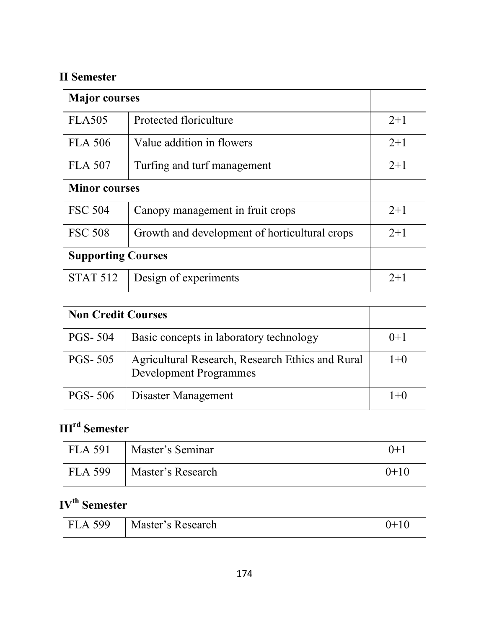# **II Semester**

| <b>Major</b> courses      |                                               |       |
|---------------------------|-----------------------------------------------|-------|
| <b>FLA505</b>             | Protected floriculture                        | $2+1$ |
| <b>FLA 506</b>            | Value addition in flowers                     | $2+1$ |
| <b>FLA 507</b>            | Turfing and turf management                   | $2+1$ |
| <b>Minor courses</b>      |                                               |       |
| <b>FSC 504</b>            | Canopy management in fruit crops              | $2+1$ |
| <b>FSC 508</b>            | Growth and development of horticultural crops | $2+1$ |
| <b>Supporting Courses</b> |                                               |       |
| <b>STAT 512</b>           | Design of experiments                         | $2+1$ |

| <b>Non Credit Courses</b> |                                                                                   |        |
|---------------------------|-----------------------------------------------------------------------------------|--------|
| <b>PGS-504</b>            | Basic concepts in laboratory technology                                           | $()+1$ |
| <b>PGS-505</b>            | Agricultural Research, Research Ethics and Rural<br><b>Development Programmes</b> | $1+0$  |
| <b>PGS-506</b>            | Disaster Management                                                               | $1+0$  |

# **IIIrd Semester**

| <b>FLA 591</b> | Master's Seminar  | $() + 1$ |
|----------------|-------------------|----------|
| <b>FLA 599</b> | Master's Research | $0+10$   |

# **IVth Semester**

| <b>FLA 599</b> | Master's Research | ⊥ |
|----------------|-------------------|---|
|----------------|-------------------|---|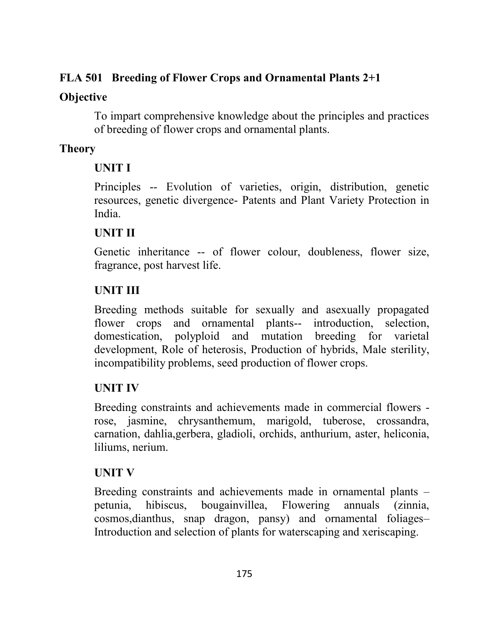## **FLA 501 Breeding of Flower Crops and Ornamental Plants 2+1**

## **Objective**

To impart comprehensive knowledge about the principles and practices of breeding of flower crops and ornamental plants.

# **Theory**

# **UNIT I**

Principles -- Evolution of varieties, origin, distribution, genetic resources, genetic divergence- Patents and Plant Variety Protection in India.

# **UNIT II**

Genetic inheritance -- of flower colour, doubleness, flower size, fragrance, post harvest life.

# **UNIT III**

Breeding methods suitable for sexually and asexually propagated flower crops and ornamental plants-- introduction, selection, domestication, polyploid and mutation breeding for varietal development, Role of heterosis, Production of hybrids, Male sterility, incompatibility problems, seed production of flower crops.

# **UNIT IV**

Breeding constraints and achievements made in commercial flowers rose, jasmine, chrysanthemum, marigold, tuberose, crossandra, carnation, dahlia,gerbera, gladioli, orchids, anthurium, aster, heliconia, liliums, nerium.

# **UNIT V**

Breeding constraints and achievements made in ornamental plants – petunia, hibiscus, bougainvillea, Flowering annuals (zinnia, cosmos,dianthus, snap dragon, pansy) and ornamental foliages– Introduction and selection of plants for waterscaping and xeriscaping.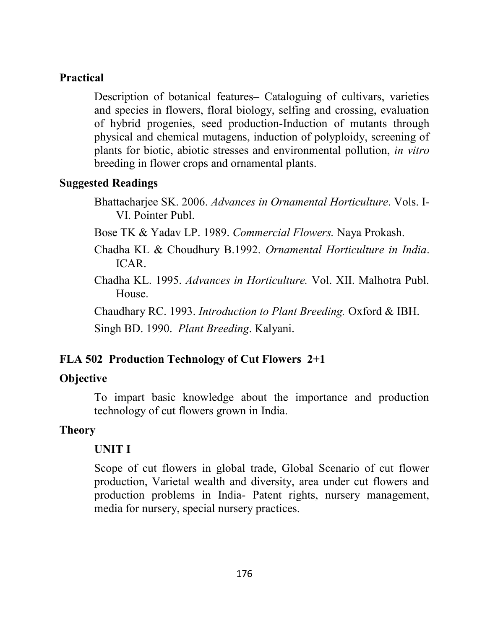#### **Practical**

Description of botanical features– Cataloguing of cultivars, varieties and species in flowers, floral biology, selfing and crossing, evaluation of hybrid progenies, seed production-Induction of mutants through physical and chemical mutagens, induction of polyploidy, screening of plants for biotic, abiotic stresses and environmental pollution, *in vitro*  breeding in flower crops and ornamental plants.

#### **Suggested Readings**

Bhattacharjee SK. 2006. *Advances in Ornamental Horticulture*. Vols. I-VI. Pointer Publ.

Bose TK & Yadav LP. 1989. *Commercial Flowers.* Naya Prokash.

Chadha KL & Choudhury B.1992. *Ornamental Horticulture in India*. ICAR.

Chadha KL. 1995. *Advances in Horticulture.* Vol. XII. Malhotra Publ. House.

Chaudhary RC. 1993. *Introduction to Plant Breeding.* Oxford & IBH. Singh BD. 1990. *Plant Breeding*. Kalyani.

#### **FLA 502 Production Technology of Cut Flowers 2+1**

#### **Objective**

To impart basic knowledge about the importance and production technology of cut flowers grown in India.

#### **Theory**

#### **UNIT I**

Scope of cut flowers in global trade, Global Scenario of cut flower production, Varietal wealth and diversity, area under cut flowers and production problems in India- Patent rights, nursery management, media for nursery, special nursery practices.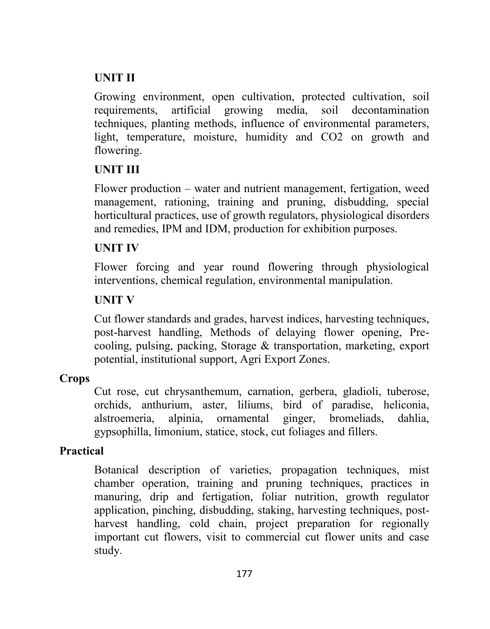## **UNIT II**

Growing environment, open cultivation, protected cultivation, soil requirements, artificial growing media, soil decontamination techniques, planting methods, influence of environmental parameters, light, temperature, moisture, humidity and CO2 on growth and flowering.

## **UNIT III**

Flower production – water and nutrient management, fertigation, weed management, rationing, training and pruning, disbudding, special horticultural practices, use of growth regulators, physiological disorders and remedies, IPM and IDM, production for exhibition purposes.

## **UNIT IV**

Flower forcing and year round flowering through physiological interventions, chemical regulation, environmental manipulation.

## **UNIT V**

Cut flower standards and grades, harvest indices, harvesting techniques, post-harvest handling, Methods of delaying flower opening, Precooling, pulsing, packing, Storage & transportation, marketing, export potential, institutional support, Agri Export Zones.

## **Crops**

Cut rose, cut chrysanthemum, carnation, gerbera, gladioli, tuberose, orchids, anthurium, aster, liliums, bird of paradise, heliconia, alstroemeria, alpinia, ornamental ginger, bromeliads, dahlia, gypsophilla, limonium, statice, stock, cut foliages and fillers.

## **Practical**

Botanical description of varieties, propagation techniques, mist chamber operation, training and pruning techniques, practices in manuring, drip and fertigation, foliar nutrition, growth regulator application, pinching, disbudding, staking, harvesting techniques, postharvest handling, cold chain, project preparation for regionally important cut flowers, visit to commercial cut flower units and case study.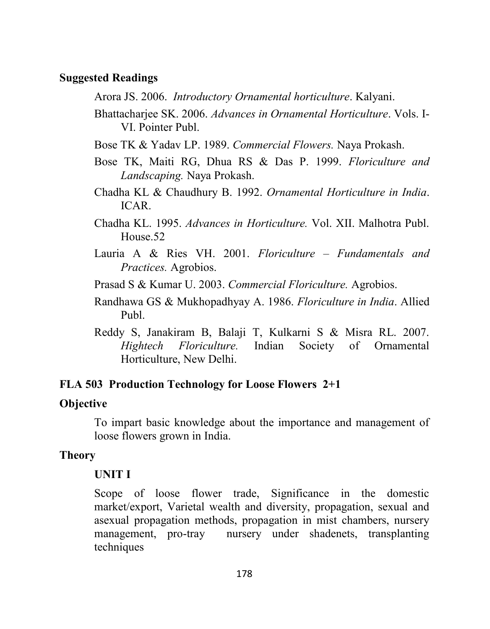#### **Suggested Readings**

Arora JS. 2006. *Introductory Ornamental horticulture*. Kalyani.

- Bhattacharjee SK. 2006. *Advances in Ornamental Horticulture*. Vols. I-VI. Pointer Publ.
- Bose TK & Yadav LP. 1989. *Commercial Flowers.* Naya Prokash.
- Bose TK, Maiti RG, Dhua RS & Das P. 1999. *Floriculture and Landscaping.* Naya Prokash.
- Chadha KL & Chaudhury B. 1992. *Ornamental Horticulture in India*. ICAR.
- Chadha KL. 1995. *Advances in Horticulture.* Vol. XII. Malhotra Publ. House.52
- Lauria A & Ries VH. 2001. *Floriculture – Fundamentals and Practices.* Agrobios.
- Prasad S & Kumar U. 2003. *Commercial Floriculture.* Agrobios.
- Randhawa GS & Mukhopadhyay A. 1986. *Floriculture in India*. Allied Publ.
- Reddy S, Janakiram B, Balaji T, Kulkarni S & Misra RL. 2007. *Hightech Floriculture.* Indian Society of Ornamental Horticulture, New Delhi.

#### **FLA 503 Production Technology for Loose Flowers 2+1**

## **Objective**

To impart basic knowledge about the importance and management of loose flowers grown in India.

## **Theory**

## **UNIT I**

Scope of loose flower trade, Significance in the domestic market/export, Varietal wealth and diversity, propagation, sexual and asexual propagation methods, propagation in mist chambers, nursery management, pro-tray nursery under shadenets, transplanting techniques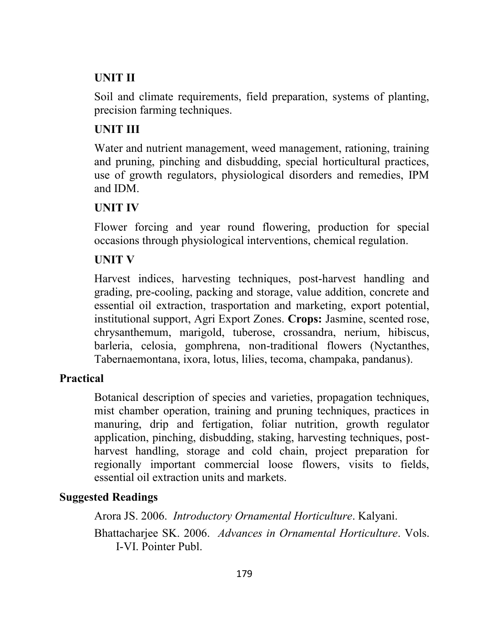## **UNIT II**

Soil and climate requirements, field preparation, systems of planting, precision farming techniques.

## **UNIT III**

Water and nutrient management, weed management, rationing, training and pruning, pinching and disbudding, special horticultural practices, use of growth regulators, physiological disorders and remedies, IPM and IDM.

#### **UNIT IV**

Flower forcing and year round flowering, production for special occasions through physiological interventions, chemical regulation.

## **UNIT V**

Harvest indices, harvesting techniques, post-harvest handling and grading, pre-cooling, packing and storage, value addition, concrete and essential oil extraction, trasportation and marketing, export potential, institutional support, Agri Export Zones. **Crops:** Jasmine, scented rose, chrysanthemum, marigold, tuberose, crossandra, nerium, hibiscus, barleria, celosia, gomphrena, non-traditional flowers (Nyctanthes, Tabernaemontana, ixora, lotus, lilies, tecoma, champaka, pandanus).

## **Practical**

Botanical description of species and varieties, propagation techniques, mist chamber operation, training and pruning techniques, practices in manuring, drip and fertigation, foliar nutrition, growth regulator application, pinching, disbudding, staking, harvesting techniques, postharvest handling, storage and cold chain, project preparation for regionally important commercial loose flowers, visits to fields, essential oil extraction units and markets.

#### **Suggested Readings**

Arora JS. 2006. *Introductory Ornamental Horticulture*. Kalyani. Bhattacharjee SK. 2006. *Advances in Ornamental Horticulture*. Vols. I-VI. Pointer Publ.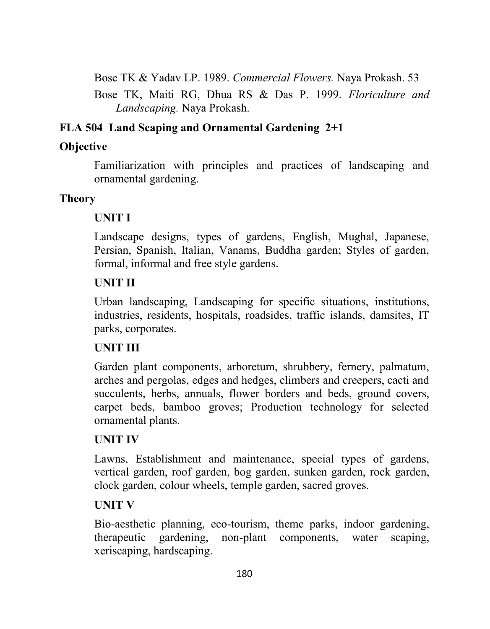Bose TK & Yadav LP. 1989. *Commercial Flowers.* Naya Prokash. 53

Bose TK, Maiti RG, Dhua RS & Das P. 1999. *Floriculture and Landscaping.* Naya Prokash.

## **FLA 504 Land Scaping and Ornamental Gardening 2+1**

## **Objective**

Familiarization with principles and practices of landscaping and ornamental gardening.

# **Theory**

# **UNIT I**

Landscape designs, types of gardens, English, Mughal, Japanese, Persian, Spanish, Italian, Vanams, Buddha garden; Styles of garden, formal, informal and free style gardens.

# **UNIT II**

Urban landscaping, Landscaping for specific situations, institutions, industries, residents, hospitals, roadsides, traffic islands, damsites, IT parks, corporates.

# **UNIT III**

Garden plant components, arboretum, shrubbery, fernery, palmatum, arches and pergolas, edges and hedges, climbers and creepers, cacti and succulents, herbs, annuals, flower borders and beds, ground covers, carpet beds, bamboo groves; Production technology for selected ornamental plants.

# **UNIT IV**

Lawns, Establishment and maintenance, special types of gardens, vertical garden, roof garden, bog garden, sunken garden, rock garden, clock garden, colour wheels, temple garden, sacred groves.

# **UNIT V**

Bio-aesthetic planning, eco-tourism, theme parks, indoor gardening, therapeutic gardening, non-plant components, water scaping, xeriscaping, hardscaping.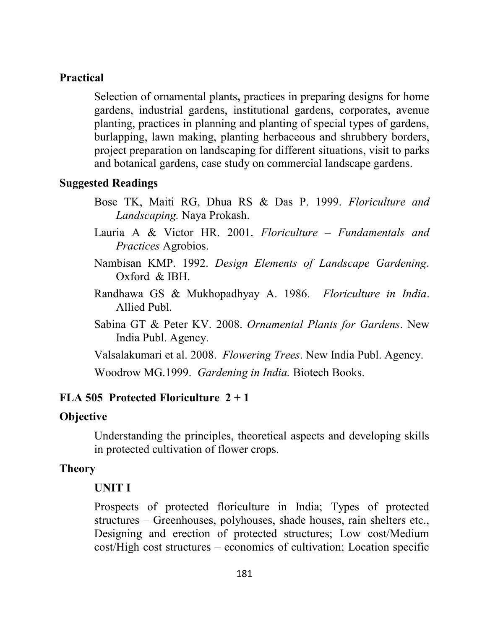#### **Practical**

Selection of ornamental plants**,** practices in preparing designs for home gardens, industrial gardens, institutional gardens, corporates, avenue planting, practices in planning and planting of special types of gardens, burlapping, lawn making, planting herbaceous and shrubbery borders, project preparation on landscaping for different situations, visit to parks and botanical gardens, case study on commercial landscape gardens.

#### **Suggested Readings**

- Bose TK, Maiti RG, Dhua RS & Das P. 1999. *Floriculture and Landscaping.* Naya Prokash.
- Lauria A & Victor HR. 2001. *Floriculture – Fundamentals and Practices* Agrobios.
- Nambisan KMP. 1992. *Design Elements of Landscape Gardening*. Oxford & IBH.
- Randhawa GS & Mukhopadhyay A. 1986. *Floriculture in India*. Allied Publ.
- Sabina GT & Peter KV. 2008. *Ornamental Plants for Gardens*. New India Publ. Agency.
- Valsalakumari et al. 2008. *Flowering Trees*. New India Publ. Agency.

Woodrow MG.1999. *Gardening in India.* Biotech Books.

#### **FLA 505 Protected Floriculture 2 + 1**

#### **Objective**

Understanding the principles, theoretical aspects and developing skills in protected cultivation of flower crops.

#### **Theory**

#### **UNIT I**

Prospects of protected floriculture in India; Types of protected structures – Greenhouses, polyhouses, shade houses, rain shelters etc., Designing and erection of protected structures; Low cost/Medium cost/High cost structures – economics of cultivation; Location specific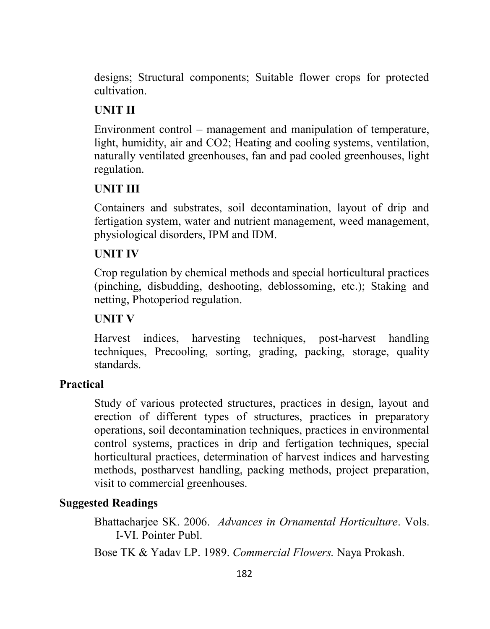designs; Structural components; Suitable flower crops for protected cultivation.

## **UNIT II**

Environment control – management and manipulation of temperature, light, humidity, air and CO2; Heating and cooling systems, ventilation, naturally ventilated greenhouses, fan and pad cooled greenhouses, light regulation.

#### **UNIT III**

Containers and substrates, soil decontamination, layout of drip and fertigation system, water and nutrient management, weed management, physiological disorders, IPM and IDM.

#### **UNIT IV**

Crop regulation by chemical methods and special horticultural practices (pinching, disbudding, deshooting, deblossoming, etc.); Staking and netting, Photoperiod regulation.

#### **UNIT V**

Harvest indices, harvesting techniques, post-harvest handling techniques, Precooling, sorting, grading, packing, storage, quality standards.

#### **Practical**

Study of various protected structures, practices in design, layout and erection of different types of structures, practices in preparatory operations, soil decontamination techniques, practices in environmental control systems, practices in drip and fertigation techniques, special horticultural practices, determination of harvest indices and harvesting methods, postharvest handling, packing methods, project preparation, visit to commercial greenhouses.

#### **Suggested Readings**

Bhattacharjee SK. 2006. *Advances in Ornamental Horticulture*. Vols. I-VI. Pointer Publ.

Bose TK & Yadav LP. 1989. *Commercial Flowers.* Naya Prokash.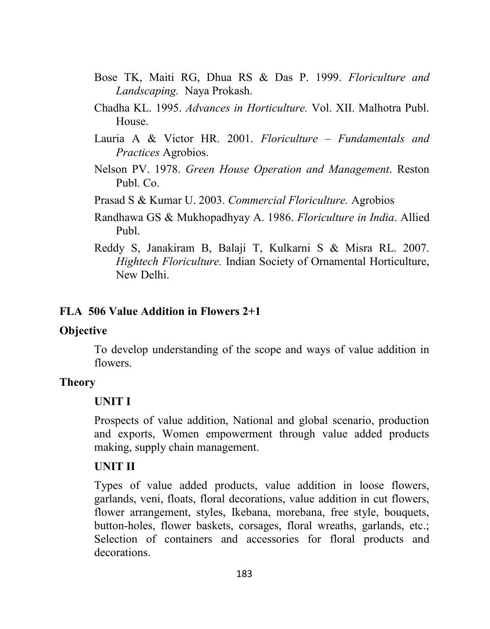- Bose TK, Maiti RG, Dhua RS & Das P. 1999. *Floriculture and Landscaping.* Naya Prokash.
- Chadha KL. 1995. *Advances in Horticulture.* Vol. XII. Malhotra Publ. House.
- Lauria A & Victor HR. 2001. *Floriculture – Fundamentals and Practices* Agrobios.
- Nelson PV. 1978. *Green House Operation and Management*. Reston Publ. Co.
- Prasad S & Kumar U. 2003. *Commercial Floriculture.* Agrobios
- Randhawa GS & Mukhopadhyay A. 1986. *Floriculture in India*. Allied Publ.
- Reddy S, Janakiram B, Balaji T, Kulkarni S & Misra RL. 2007. *Hightech Floriculture.* Indian Society of Ornamental Horticulture, New Delhi.

#### **FLA 506 Value Addition in Flowers 2+1**

#### **Objective**

To develop understanding of the scope and ways of value addition in flowers.

#### **Theory**

#### **UNIT I**

Prospects of value addition, National and global scenario, production and exports, Women empowerment through value added products making, supply chain management.

#### **UNIT II**

Types of value added products, value addition in loose flowers, garlands, veni, floats, floral decorations, value addition in cut flowers, flower arrangement, styles, Ikebana, morebana, free style, bouquets, button-holes, flower baskets, corsages, floral wreaths, garlands, etc.; Selection of containers and accessories for floral products and decorations.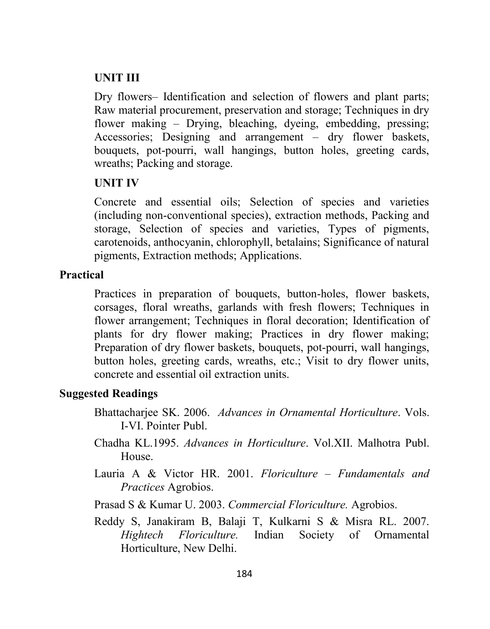#### **UNIT III**

Dry flowers– Identification and selection of flowers and plant parts; Raw material procurement, preservation and storage; Techniques in dry flower making – Drying, bleaching, dyeing, embedding, pressing; Accessories; Designing and arrangement – dry flower baskets, bouquets, pot-pourri, wall hangings, button holes, greeting cards, wreaths; Packing and storage.

#### **UNIT IV**

Concrete and essential oils; Selection of species and varieties (including non-conventional species), extraction methods, Packing and storage, Selection of species and varieties, Types of pigments, carotenoids, anthocyanin, chlorophyll, betalains; Significance of natural pigments, Extraction methods; Applications.

#### **Practical**

Practices in preparation of bouquets, button-holes, flower baskets, corsages, floral wreaths, garlands with fresh flowers; Techniques in flower arrangement; Techniques in floral decoration; Identification of plants for dry flower making; Practices in dry flower making; Preparation of dry flower baskets, bouquets, pot-pourri, wall hangings, button holes, greeting cards, wreaths, etc.; Visit to dry flower units, concrete and essential oil extraction units.

#### **Suggested Readings**

- Bhattacharjee SK. 2006. *Advances in Ornamental Horticulture*. Vols. I-VI. Pointer Publ.
- Chadha KL.1995. *Advances in Horticulture*. Vol.XII. Malhotra Publ. House.
- Lauria A & Victor HR. 2001. *Floriculture – Fundamentals and Practices* Agrobios.
- Prasad S & Kumar U. 2003. *Commercial Floriculture.* Agrobios.
- Reddy S, Janakiram B, Balaji T, Kulkarni S & Misra RL. 2007. *Hightech Floriculture.* Indian Society of Ornamental Horticulture, New Delhi.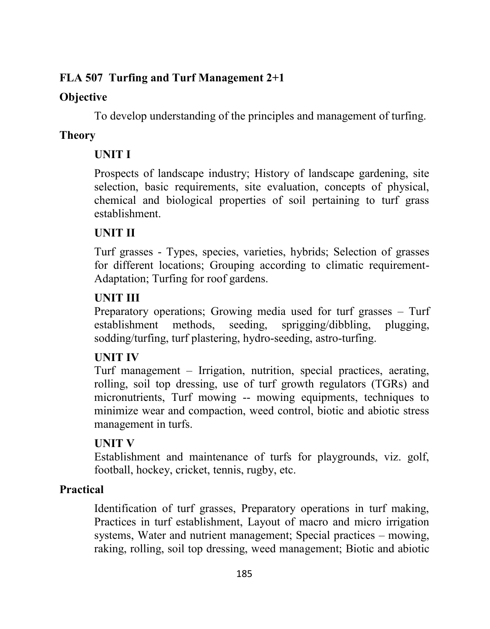# **FLA 507 Turfing and Turf Management 2+1**

## **Objective**

To develop understanding of the principles and management of turfing.

# **Theory**

# **UNIT I**

Prospects of landscape industry; History of landscape gardening, site selection, basic requirements, site evaluation, concepts of physical, chemical and biological properties of soil pertaining to turf grass establishment.

# **UNIT II**

Turf grasses - Types, species, varieties, hybrids; Selection of grasses for different locations; Grouping according to climatic requirement-Adaptation; Turfing for roof gardens.

## **UNIT III**

Preparatory operations; Growing media used for turf grasses – Turf establishment methods, seeding, sprigging/dibbling, plugging, sodding/turfing, turf plastering, hydro-seeding, astro-turfing.

# **UNIT IV**

Turf management – Irrigation, nutrition, special practices, aerating, rolling, soil top dressing, use of turf growth regulators (TGRs) and micronutrients, Turf mowing -- mowing equipments, techniques to minimize wear and compaction, weed control, biotic and abiotic stress management in turfs.

# **UNIT V**

Establishment and maintenance of turfs for playgrounds, viz. golf, football, hockey, cricket, tennis, rugby, etc.

# **Practical**

Identification of turf grasses, Preparatory operations in turf making, Practices in turf establishment, Layout of macro and micro irrigation systems, Water and nutrient management; Special practices – mowing, raking, rolling, soil top dressing, weed management; Biotic and abiotic